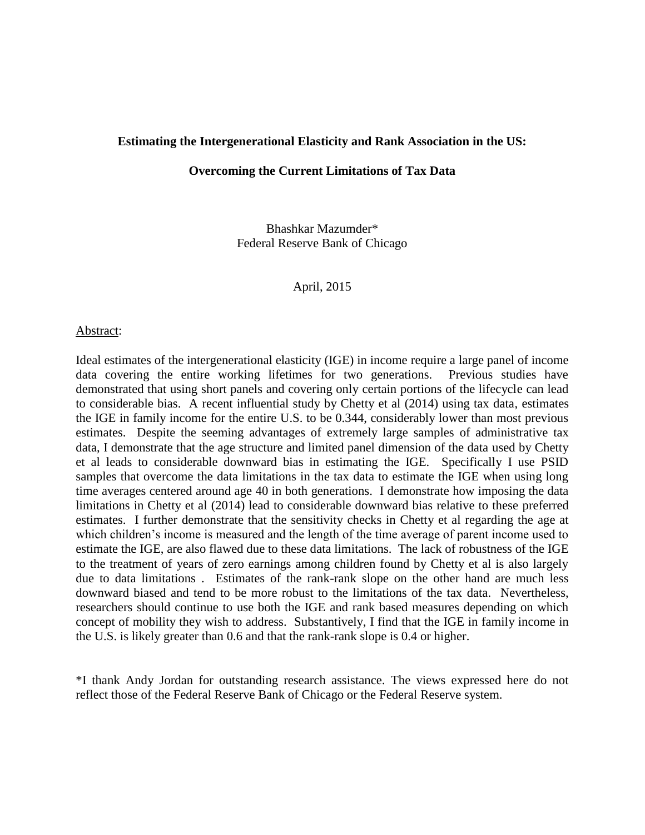#### **Estimating the Intergenerational Elasticity and Rank Association in the US:**

## **Overcoming the Current Limitations of Tax Data**

Bhashkar Mazumder\* Federal Reserve Bank of Chicago

April, 2015

#### Abstract:

Ideal estimates of the intergenerational elasticity (IGE) in income require a large panel of income data covering the entire working lifetimes for two generations. Previous studies have demonstrated that using short panels and covering only certain portions of the lifecycle can lead to considerable bias. A recent influential study by Chetty et al (2014) using tax data, estimates the IGE in family income for the entire U.S. to be 0.344, considerably lower than most previous estimates. Despite the seeming advantages of extremely large samples of administrative tax data, I demonstrate that the age structure and limited panel dimension of the data used by Chetty et al leads to considerable downward bias in estimating the IGE. Specifically I use PSID samples that overcome the data limitations in the tax data to estimate the IGE when using long time averages centered around age 40 in both generations. I demonstrate how imposing the data limitations in Chetty et al (2014) lead to considerable downward bias relative to these preferred estimates. I further demonstrate that the sensitivity checks in Chetty et al regarding the age at which children's income is measured and the length of the time average of parent income used to estimate the IGE, are also flawed due to these data limitations. The lack of robustness of the IGE to the treatment of years of zero earnings among children found by Chetty et al is also largely due to data limitations . Estimates of the rank-rank slope on the other hand are much less downward biased and tend to be more robust to the limitations of the tax data. Nevertheless, researchers should continue to use both the IGE and rank based measures depending on which concept of mobility they wish to address. Substantively, I find that the IGE in family income in the U.S. is likely greater than 0.6 and that the rank-rank slope is 0.4 or higher.

\*I thank Andy Jordan for outstanding research assistance. The views expressed here do not reflect those of the Federal Reserve Bank of Chicago or the Federal Reserve system.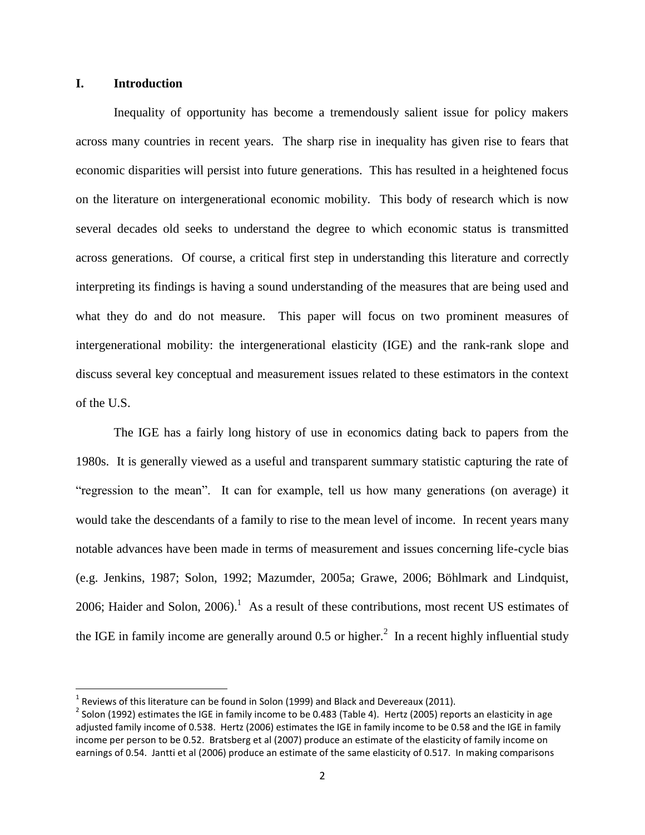# **I. Introduction**

l

Inequality of opportunity has become a tremendously salient issue for policy makers across many countries in recent years. The sharp rise in inequality has given rise to fears that economic disparities will persist into future generations. This has resulted in a heightened focus on the literature on intergenerational economic mobility. This body of research which is now several decades old seeks to understand the degree to which economic status is transmitted across generations. Of course, a critical first step in understanding this literature and correctly interpreting its findings is having a sound understanding of the measures that are being used and what they do and do not measure. This paper will focus on two prominent measures of intergenerational mobility: the intergenerational elasticity (IGE) and the rank-rank slope and discuss several key conceptual and measurement issues related to these estimators in the context of the U.S.

The IGE has a fairly long history of use in economics dating back to papers from the 1980s. It is generally viewed as a useful and transparent summary statistic capturing the rate of "regression to the mean". It can for example, tell us how many generations (on average) it would take the descendants of a family to rise to the mean level of income. In recent years many notable advances have been made in terms of measurement and issues concerning life-cycle bias (e.g. Jenkins, 1987; Solon, 1992; Mazumder, 2005a; Grawe, 2006; Böhlmark and Lindquist, 2006; Haider and Solon,  $2006$ .<sup>1</sup> As a result of these contributions, most recent US estimates of the IGE in family income are generally around 0.5 or higher.<sup>2</sup> In a recent highly influential study

 $^1$  Reviews of this literature can be found in Solon (1999) and Black and Devereaux (2011).

<sup>&</sup>lt;sup>2</sup> Solon (1992) estimates the IGE in family income to be 0.483 (Table 4). Hertz (2005) reports an elasticity in age adjusted family income of 0.538. Hertz (2006) estimates the IGE in family income to be 0.58 and the IGE in family income per person to be 0.52. Bratsberg et al (2007) produce an estimate of the elasticity of family income on earnings of 0.54. Jantti et al (2006) produce an estimate of the same elasticity of 0.517. In making comparisons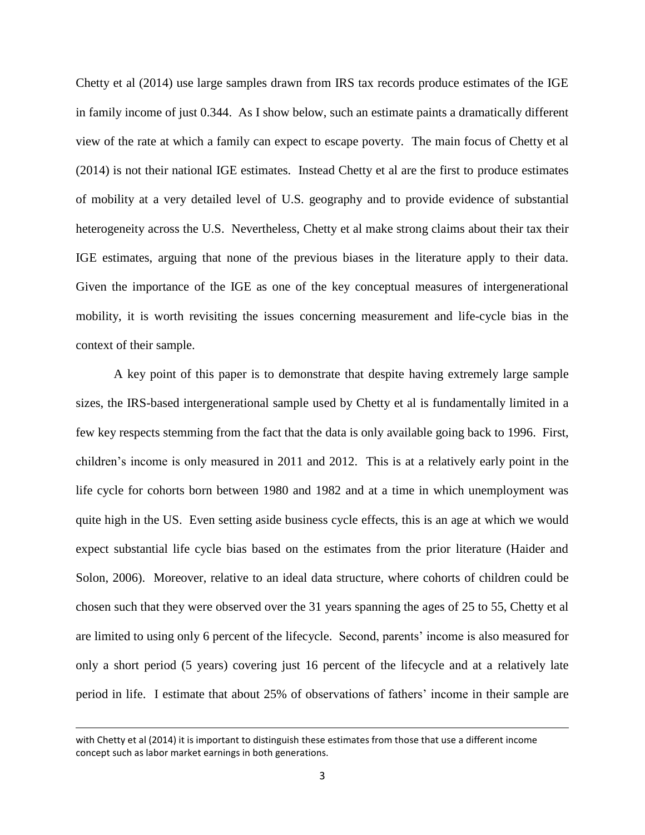Chetty et al (2014) use large samples drawn from IRS tax records produce estimates of the IGE in family income of just 0.344. As I show below, such an estimate paints a dramatically different view of the rate at which a family can expect to escape poverty. The main focus of Chetty et al (2014) is not their national IGE estimates. Instead Chetty et al are the first to produce estimates of mobility at a very detailed level of U.S. geography and to provide evidence of substantial heterogeneity across the U.S. Nevertheless, Chetty et al make strong claims about their tax their IGE estimates, arguing that none of the previous biases in the literature apply to their data. Given the importance of the IGE as one of the key conceptual measures of intergenerational mobility, it is worth revisiting the issues concerning measurement and life-cycle bias in the context of their sample.

A key point of this paper is to demonstrate that despite having extremely large sample sizes, the IRS-based intergenerational sample used by Chetty et al is fundamentally limited in a few key respects stemming from the fact that the data is only available going back to 1996. First, children's income is only measured in 2011 and 2012. This is at a relatively early point in the life cycle for cohorts born between 1980 and 1982 and at a time in which unemployment was quite high in the US. Even setting aside business cycle effects, this is an age at which we would expect substantial life cycle bias based on the estimates from the prior literature (Haider and Solon, 2006). Moreover, relative to an ideal data structure, where cohorts of children could be chosen such that they were observed over the 31 years spanning the ages of 25 to 55, Chetty et al are limited to using only 6 percent of the lifecycle. Second, parents' income is also measured for only a short period (5 years) covering just 16 percent of the lifecycle and at a relatively late period in life. I estimate that about 25% of observations of fathers' income in their sample are

l

with Chetty et al (2014) it is important to distinguish these estimates from those that use a different income concept such as labor market earnings in both generations.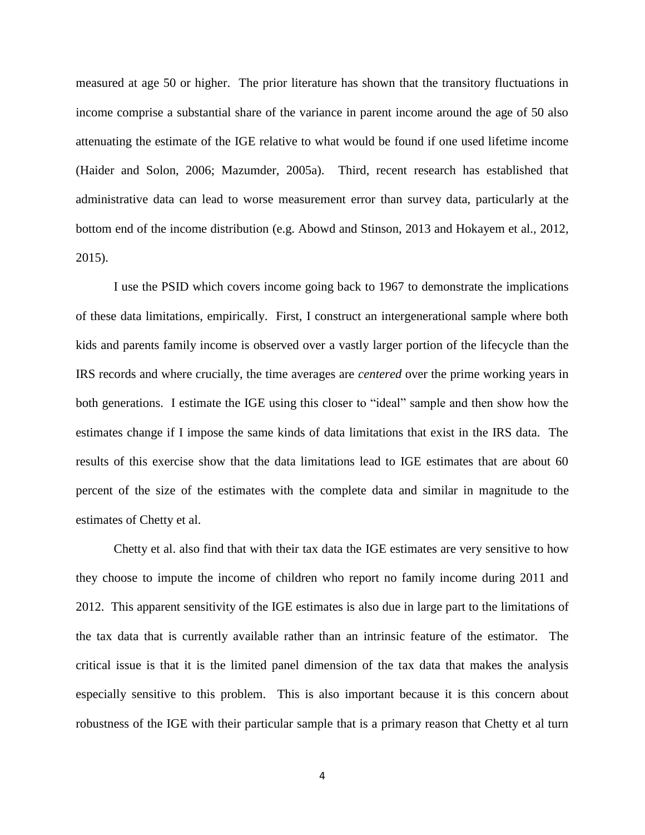measured at age 50 or higher. The prior literature has shown that the transitory fluctuations in income comprise a substantial share of the variance in parent income around the age of 50 also attenuating the estimate of the IGE relative to what would be found if one used lifetime income (Haider and Solon, 2006; Mazumder, 2005a). Third, recent research has established that administrative data can lead to worse measurement error than survey data, particularly at the bottom end of the income distribution (e.g. Abowd and Stinson, 2013 and Hokayem et al., 2012, 2015).

I use the PSID which covers income going back to 1967 to demonstrate the implications of these data limitations, empirically. First, I construct an intergenerational sample where both kids and parents family income is observed over a vastly larger portion of the lifecycle than the IRS records and where crucially, the time averages are *centered* over the prime working years in both generations. I estimate the IGE using this closer to "ideal" sample and then show how the estimates change if I impose the same kinds of data limitations that exist in the IRS data. The results of this exercise show that the data limitations lead to IGE estimates that are about 60 percent of the size of the estimates with the complete data and similar in magnitude to the estimates of Chetty et al.

Chetty et al. also find that with their tax data the IGE estimates are very sensitive to how they choose to impute the income of children who report no family income during 2011 and 2012. This apparent sensitivity of the IGE estimates is also due in large part to the limitations of the tax data that is currently available rather than an intrinsic feature of the estimator. The critical issue is that it is the limited panel dimension of the tax data that makes the analysis especially sensitive to this problem. This is also important because it is this concern about robustness of the IGE with their particular sample that is a primary reason that Chetty et al turn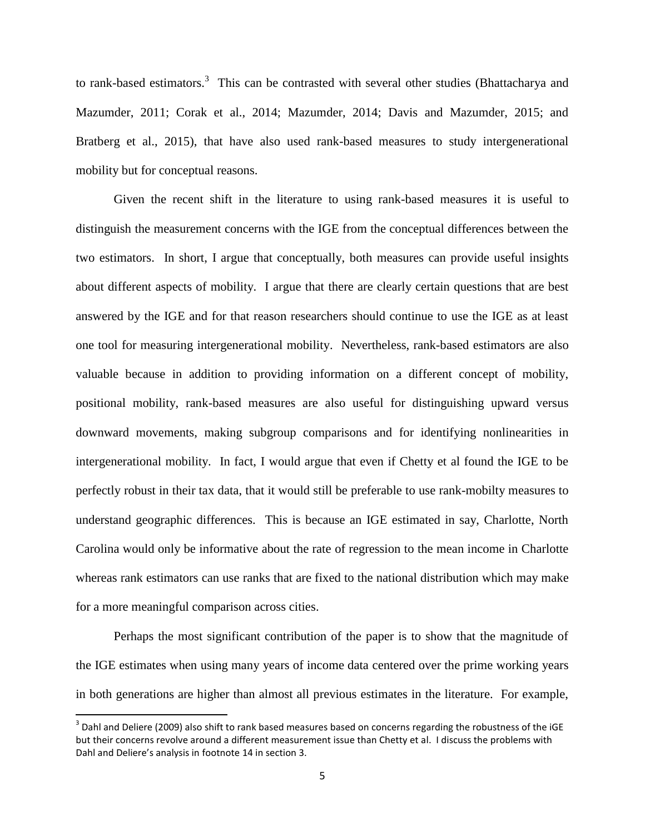to rank-based estimators.<sup>3</sup> This can be contrasted with several other studies (Bhattacharya and Mazumder, 2011; Corak et al., 2014; Mazumder, 2014; Davis and Mazumder, 2015; and Bratberg et al., 2015), that have also used rank-based measures to study intergenerational mobility but for conceptual reasons.

Given the recent shift in the literature to using rank-based measures it is useful to distinguish the measurement concerns with the IGE from the conceptual differences between the two estimators. In short, I argue that conceptually, both measures can provide useful insights about different aspects of mobility. I argue that there are clearly certain questions that are best answered by the IGE and for that reason researchers should continue to use the IGE as at least one tool for measuring intergenerational mobility. Nevertheless, rank-based estimators are also valuable because in addition to providing information on a different concept of mobility, positional mobility, rank-based measures are also useful for distinguishing upward versus downward movements, making subgroup comparisons and for identifying nonlinearities in intergenerational mobility. In fact, I would argue that even if Chetty et al found the IGE to be perfectly robust in their tax data, that it would still be preferable to use rank-mobilty measures to understand geographic differences. This is because an IGE estimated in say, Charlotte, North Carolina would only be informative about the rate of regression to the mean income in Charlotte whereas rank estimators can use ranks that are fixed to the national distribution which may make for a more meaningful comparison across cities.

Perhaps the most significant contribution of the paper is to show that the magnitude of the IGE estimates when using many years of income data centered over the prime working years in both generations are higher than almost all previous estimates in the literature. For example,

 $\overline{\phantom{a}}$ 

 $^3$  Dahl and Deliere (2009) also shift to rank based measures based on concerns regarding the robustness of the iGE but their concerns revolve around a different measurement issue than Chetty et al. I discuss the problems with Dahl and Deliere's analysis in footnote 14 in section 3.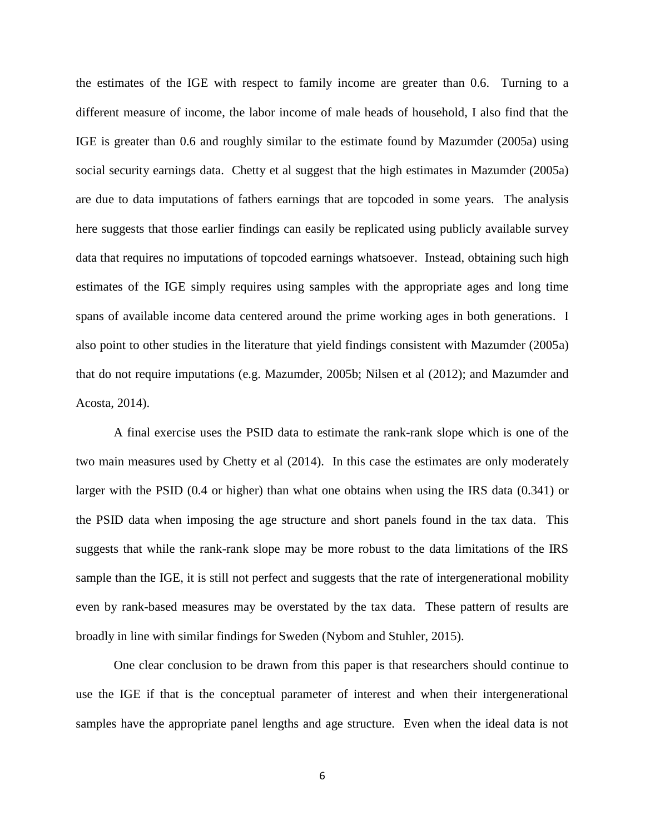the estimates of the IGE with respect to family income are greater than 0.6. Turning to a different measure of income, the labor income of male heads of household, I also find that the IGE is greater than 0.6 and roughly similar to the estimate found by Mazumder (2005a) using social security earnings data. Chetty et al suggest that the high estimates in Mazumder (2005a) are due to data imputations of fathers earnings that are topcoded in some years. The analysis here suggests that those earlier findings can easily be replicated using publicly available survey data that requires no imputations of topcoded earnings whatsoever. Instead, obtaining such high estimates of the IGE simply requires using samples with the appropriate ages and long time spans of available income data centered around the prime working ages in both generations. I also point to other studies in the literature that yield findings consistent with Mazumder (2005a) that do not require imputations (e.g. Mazumder, 2005b; Nilsen et al (2012); and Mazumder and Acosta, 2014).

A final exercise uses the PSID data to estimate the rank-rank slope which is one of the two main measures used by Chetty et al (2014). In this case the estimates are only moderately larger with the PSID (0.4 or higher) than what one obtains when using the IRS data (0.341) or the PSID data when imposing the age structure and short panels found in the tax data. This suggests that while the rank-rank slope may be more robust to the data limitations of the IRS sample than the IGE, it is still not perfect and suggests that the rate of intergenerational mobility even by rank-based measures may be overstated by the tax data. These pattern of results are broadly in line with similar findings for Sweden (Nybom and Stuhler, 2015).

One clear conclusion to be drawn from this paper is that researchers should continue to use the IGE if that is the conceptual parameter of interest and when their intergenerational samples have the appropriate panel lengths and age structure. Even when the ideal data is not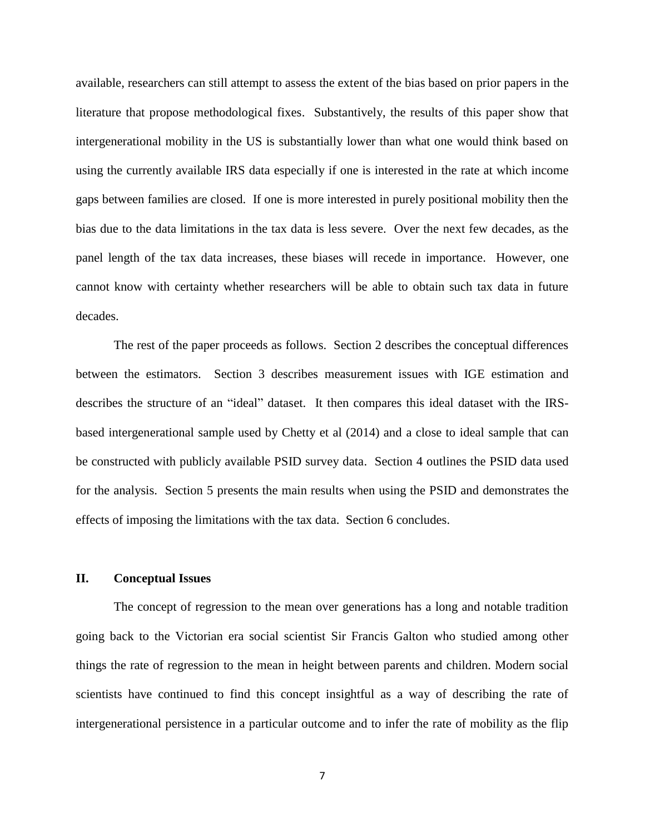available, researchers can still attempt to assess the extent of the bias based on prior papers in the literature that propose methodological fixes. Substantively, the results of this paper show that intergenerational mobility in the US is substantially lower than what one would think based on using the currently available IRS data especially if one is interested in the rate at which income gaps between families are closed. If one is more interested in purely positional mobility then the bias due to the data limitations in the tax data is less severe. Over the next few decades, as the panel length of the tax data increases, these biases will recede in importance. However, one cannot know with certainty whether researchers will be able to obtain such tax data in future decades.

The rest of the paper proceeds as follows. Section 2 describes the conceptual differences between the estimators. Section 3 describes measurement issues with IGE estimation and describes the structure of an "ideal" dataset. It then compares this ideal dataset with the IRSbased intergenerational sample used by Chetty et al (2014) and a close to ideal sample that can be constructed with publicly available PSID survey data. Section 4 outlines the PSID data used for the analysis. Section 5 presents the main results when using the PSID and demonstrates the effects of imposing the limitations with the tax data. Section 6 concludes.

## **II. Conceptual Issues**

The concept of regression to the mean over generations has a long and notable tradition going back to the Victorian era social scientist Sir Francis Galton who studied among other things the rate of regression to the mean in height between parents and children. Modern social scientists have continued to find this concept insightful as a way of describing the rate of intergenerational persistence in a particular outcome and to infer the rate of mobility as the flip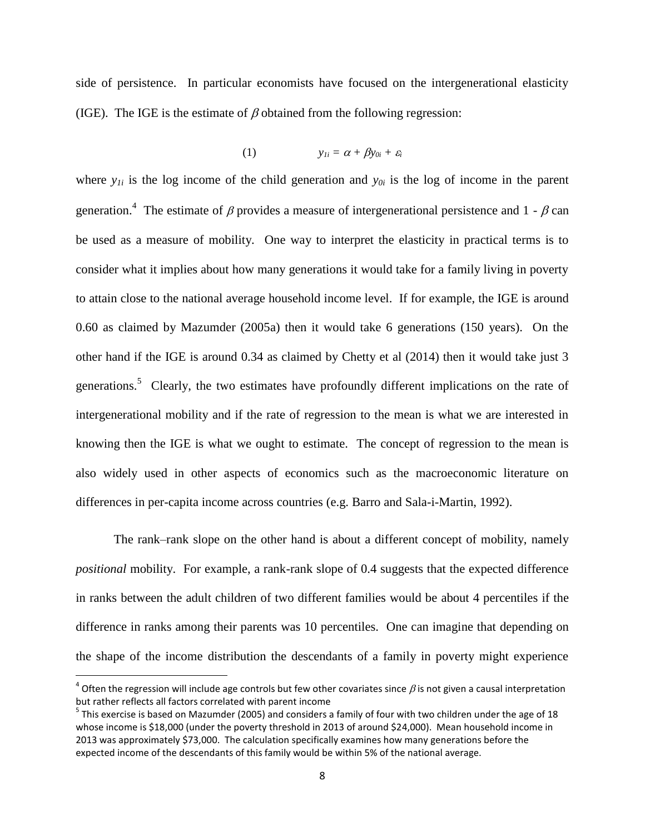side of persistence. In particular economists have focused on the intergenerational elasticity (IGE). The IGE is the estimate of  $\beta$  obtained from the following regression:

$$
(1) \t y_{Ii} = \alpha + \beta y_{0i} + \varepsilon_i
$$

where  $y_{1i}$  is the log income of the child generation and  $y_{0i}$  is the log of income in the parent generation.<sup>4</sup> The estimate of  $\beta$  provides a measure of intergenerational persistence and 1 -  $\beta$  can be used as a measure of mobility. One way to interpret the elasticity in practical terms is to consider what it implies about how many generations it would take for a family living in poverty to attain close to the national average household income level. If for example, the IGE is around 0.60 as claimed by Mazumder (2005a) then it would take 6 generations (150 years). On the other hand if the IGE is around 0.34 as claimed by Chetty et al (2014) then it would take just 3 generations.<sup>5</sup> Clearly, the two estimates have profoundly different implications on the rate of intergenerational mobility and if the rate of regression to the mean is what we are interested in knowing then the IGE is what we ought to estimate. The concept of regression to the mean is also widely used in other aspects of economics such as the macroeconomic literature on differences in per-capita income across countries (e.g. Barro and Sala-i-Martin, 1992).

The rank–rank slope on the other hand is about a different concept of mobility, namely *positional* mobility. For example, a rank-rank slope of 0.4 suggests that the expected difference in ranks between the adult children of two different families would be about 4 percentiles if the difference in ranks among their parents was 10 percentiles. One can imagine that depending on the shape of the income distribution the descendants of a family in poverty might experience

 $\overline{\phantom{a}}$ 

<sup>&</sup>lt;sup>4</sup> Often the regression will include age controls but few other covariates since  $\beta$  is not given a causal interpretation but rather reflects all factors correlated with parent income

 $^5$  This exercise is based on Mazumder (2005) and considers a family of four with two children under the age of 18 whose income is \$18,000 (under the poverty threshold in 2013 of around \$24,000). Mean household income in 2013 was approximately \$73,000. The calculation specifically examines how many generations before the expected income of the descendants of this family would be within 5% of the national average.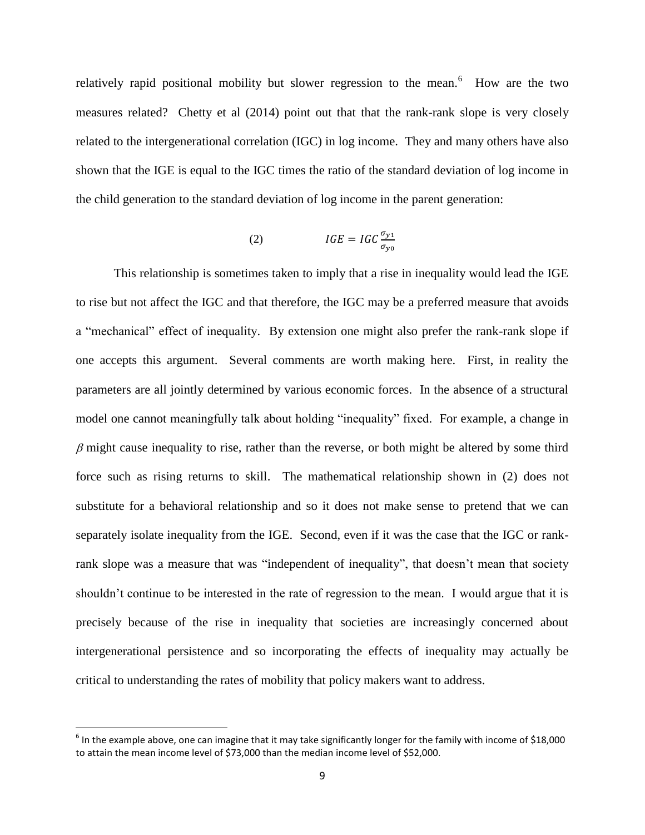relatively rapid positional mobility but slower regression to the mean.<sup>6</sup> How are the two measures related? Chetty et al (2014) point out that that the rank-rank slope is very closely related to the intergenerational correlation (IGC) in log income. They and many others have also shown that the IGE is equal to the IGC times the ratio of the standard deviation of log income in the child generation to the standard deviation of log income in the parent generation:

$$
(2) \tIGE = IGC \frac{\sigma_{y1}}{\sigma_{y0}}
$$

This relationship is sometimes taken to imply that a rise in inequality would lead the IGE to rise but not affect the IGC and that therefore, the IGC may be a preferred measure that avoids a "mechanical" effect of inequality. By extension one might also prefer the rank-rank slope if one accepts this argument. Several comments are worth making here. First, in reality the parameters are all jointly determined by various economic forces. In the absence of a structural model one cannot meaningfully talk about holding "inequality" fixed. For example, a change in  $\beta$  might cause inequality to rise, rather than the reverse, or both might be altered by some third force such as rising returns to skill. The mathematical relationship shown in (2) does not substitute for a behavioral relationship and so it does not make sense to pretend that we can separately isolate inequality from the IGE. Second, even if it was the case that the IGC or rankrank slope was a measure that was "independent of inequality", that doesn't mean that society shouldn't continue to be interested in the rate of regression to the mean. I would argue that it is precisely because of the rise in inequality that societies are increasingly concerned about intergenerational persistence and so incorporating the effects of inequality may actually be critical to understanding the rates of mobility that policy makers want to address.

l

 $^6$  In the example above, one can imagine that it may take significantly longer for the family with income of \$18,000 to attain the mean income level of \$73,000 than the median income level of \$52,000.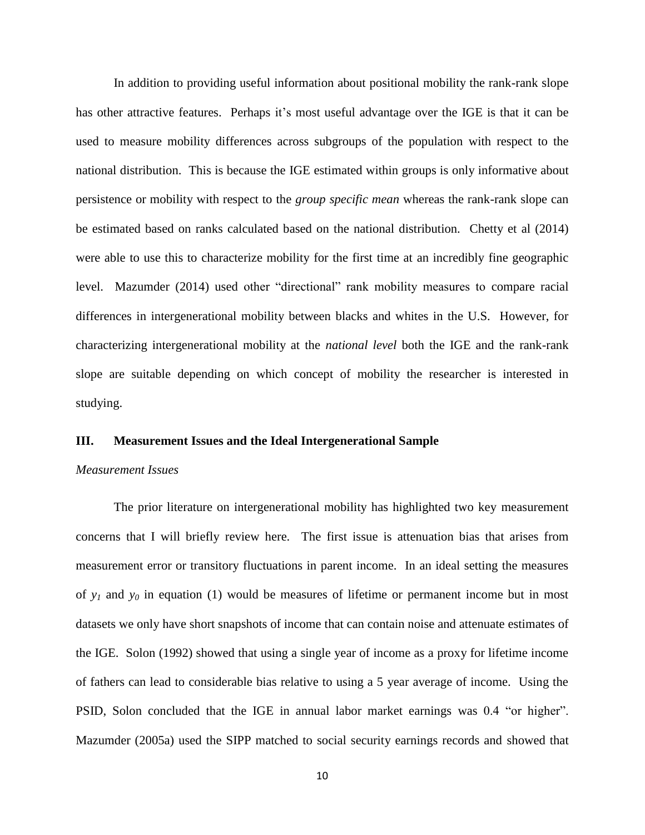In addition to providing useful information about positional mobility the rank-rank slope has other attractive features. Perhaps it's most useful advantage over the IGE is that it can be used to measure mobility differences across subgroups of the population with respect to the national distribution. This is because the IGE estimated within groups is only informative about persistence or mobility with respect to the *group specific mean* whereas the rank-rank slope can be estimated based on ranks calculated based on the national distribution. Chetty et al (2014) were able to use this to characterize mobility for the first time at an incredibly fine geographic level. Mazumder (2014) used other "directional" rank mobility measures to compare racial differences in intergenerational mobility between blacks and whites in the U.S. However, for characterizing intergenerational mobility at the *national level* both the IGE and the rank-rank slope are suitable depending on which concept of mobility the researcher is interested in studying.

## **III. Measurement Issues and the Ideal Intergenerational Sample**

#### *Measurement Issues*

The prior literature on intergenerational mobility has highlighted two key measurement concerns that I will briefly review here. The first issue is attenuation bias that arises from measurement error or transitory fluctuations in parent income. In an ideal setting the measures of  $y<sub>l</sub>$  and  $y<sub>0</sub>$  in equation (1) would be measures of lifetime or permanent income but in most datasets we only have short snapshots of income that can contain noise and attenuate estimates of the IGE. Solon (1992) showed that using a single year of income as a proxy for lifetime income of fathers can lead to considerable bias relative to using a 5 year average of income. Using the PSID, Solon concluded that the IGE in annual labor market earnings was 0.4 "or higher". Mazumder (2005a) used the SIPP matched to social security earnings records and showed that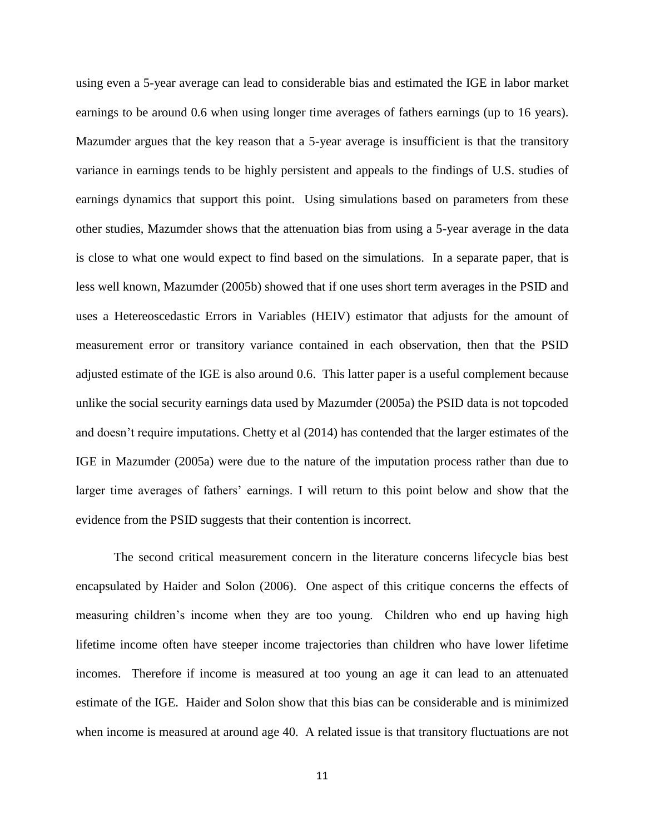using even a 5-year average can lead to considerable bias and estimated the IGE in labor market earnings to be around 0.6 when using longer time averages of fathers earnings (up to 16 years). Mazumder argues that the key reason that a 5-year average is insufficient is that the transitory variance in earnings tends to be highly persistent and appeals to the findings of U.S. studies of earnings dynamics that support this point. Using simulations based on parameters from these other studies, Mazumder shows that the attenuation bias from using a 5-year average in the data is close to what one would expect to find based on the simulations. In a separate paper, that is less well known, Mazumder (2005b) showed that if one uses short term averages in the PSID and uses a Hetereoscedastic Errors in Variables (HEIV) estimator that adjusts for the amount of measurement error or transitory variance contained in each observation, then that the PSID adjusted estimate of the IGE is also around 0.6. This latter paper is a useful complement because unlike the social security earnings data used by Mazumder (2005a) the PSID data is not topcoded and doesn't require imputations. Chetty et al (2014) has contended that the larger estimates of the IGE in Mazumder (2005a) were due to the nature of the imputation process rather than due to larger time averages of fathers' earnings. I will return to this point below and show that the evidence from the PSID suggests that their contention is incorrect.

The second critical measurement concern in the literature concerns lifecycle bias best encapsulated by Haider and Solon (2006). One aspect of this critique concerns the effects of measuring children's income when they are too young. Children who end up having high lifetime income often have steeper income trajectories than children who have lower lifetime incomes. Therefore if income is measured at too young an age it can lead to an attenuated estimate of the IGE. Haider and Solon show that this bias can be considerable and is minimized when income is measured at around age 40. A related issue is that transitory fluctuations are not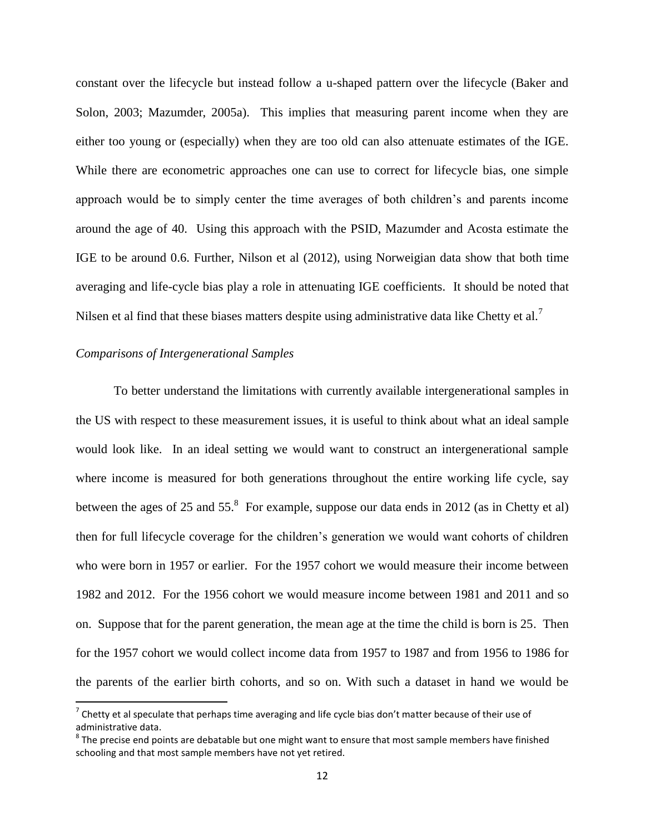constant over the lifecycle but instead follow a u-shaped pattern over the lifecycle (Baker and Solon, 2003; Mazumder, 2005a). This implies that measuring parent income when they are either too young or (especially) when they are too old can also attenuate estimates of the IGE. While there are econometric approaches one can use to correct for lifecycle bias, one simple approach would be to simply center the time averages of both children's and parents income around the age of 40. Using this approach with the PSID, Mazumder and Acosta estimate the IGE to be around 0.6. Further, Nilson et al (2012), using Norweigian data show that both time averaging and life-cycle bias play a role in attenuating IGE coefficients. It should be noted that Nilsen et al find that these biases matters despite using administrative data like Chetty et al.<sup>7</sup>

## *Comparisons of Intergenerational Samples*

 $\overline{a}$ 

To better understand the limitations with currently available intergenerational samples in the US with respect to these measurement issues, it is useful to think about what an ideal sample would look like. In an ideal setting we would want to construct an intergenerational sample where income is measured for both generations throughout the entire working life cycle, say between the ages of 25 and 55. $8$  For example, suppose our data ends in 2012 (as in Chetty et al) then for full lifecycle coverage for the children's generation we would want cohorts of children who were born in 1957 or earlier. For the 1957 cohort we would measure their income between 1982 and 2012. For the 1956 cohort we would measure income between 1981 and 2011 and so on. Suppose that for the parent generation, the mean age at the time the child is born is 25. Then for the 1957 cohort we would collect income data from 1957 to 1987 and from 1956 to 1986 for the parents of the earlier birth cohorts, and so on. With such a dataset in hand we would be

 $^7$  Chetty et al speculate that perhaps time averaging and life cycle bias don't matter because of their use of administrative data.

 $^8$  The precise end points are debatable but one might want to ensure that most sample members have finished schooling and that most sample members have not yet retired.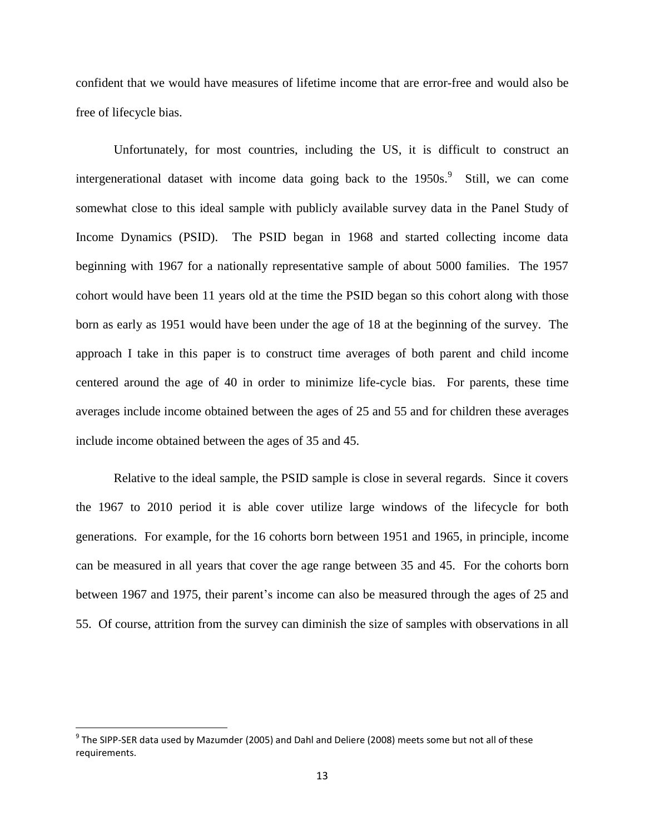confident that we would have measures of lifetime income that are error-free and would also be free of lifecycle bias.

Unfortunately, for most countries, including the US, it is difficult to construct an intergenerational dataset with income data going back to the 1950s.<sup>9</sup> Still, we can come somewhat close to this ideal sample with publicly available survey data in the Panel Study of Income Dynamics (PSID). The PSID began in 1968 and started collecting income data beginning with 1967 for a nationally representative sample of about 5000 families. The 1957 cohort would have been 11 years old at the time the PSID began so this cohort along with those born as early as 1951 would have been under the age of 18 at the beginning of the survey. The approach I take in this paper is to construct time averages of both parent and child income centered around the age of 40 in order to minimize life-cycle bias. For parents, these time averages include income obtained between the ages of 25 and 55 and for children these averages include income obtained between the ages of 35 and 45.

Relative to the ideal sample, the PSID sample is close in several regards. Since it covers the 1967 to 2010 period it is able cover utilize large windows of the lifecycle for both generations. For example, for the 16 cohorts born between 1951 and 1965, in principle, income can be measured in all years that cover the age range between 35 and 45. For the cohorts born between 1967 and 1975, their parent's income can also be measured through the ages of 25 and 55. Of course, attrition from the survey can diminish the size of samples with observations in all

l

 $^9$  The SIPP-SER data used by Mazumder (2005) and Dahl and Deliere (2008) meets some but not all of these requirements.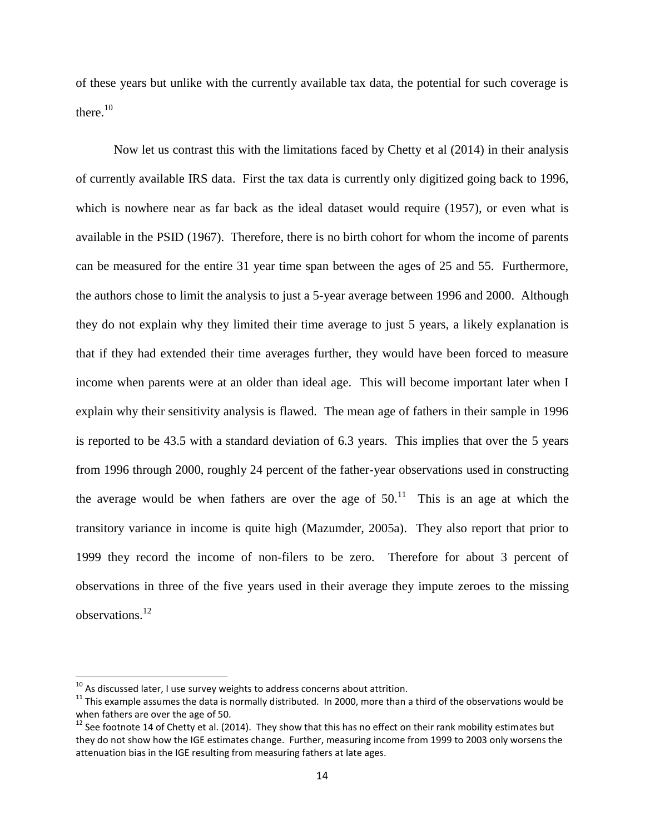of these years but unlike with the currently available tax data, the potential for such coverage is there. $10$ 

Now let us contrast this with the limitations faced by Chetty et al (2014) in their analysis of currently available IRS data. First the tax data is currently only digitized going back to 1996, which is nowhere near as far back as the ideal dataset would require (1957), or even what is available in the PSID (1967). Therefore, there is no birth cohort for whom the income of parents can be measured for the entire 31 year time span between the ages of 25 and 55. Furthermore, the authors chose to limit the analysis to just a 5-year average between 1996 and 2000. Although they do not explain why they limited their time average to just 5 years, a likely explanation is that if they had extended their time averages further, they would have been forced to measure income when parents were at an older than ideal age. This will become important later when I explain why their sensitivity analysis is flawed. The mean age of fathers in their sample in 1996 is reported to be 43.5 with a standard deviation of 6.3 years. This implies that over the 5 years from 1996 through 2000, roughly 24 percent of the father-year observations used in constructing the average would be when fathers are over the age of  $50<sup>11</sup>$  This is an age at which the transitory variance in income is quite high (Mazumder, 2005a). They also report that prior to 1999 they record the income of non-filers to be zero. Therefore for about 3 percent of observations in three of the five years used in their average they impute zeroes to the missing observations. 12

 $\overline{a}$ 

 $^{10}$  As discussed later, I use survey weights to address concerns about attrition.

 $11$  This example assumes the data is normally distributed. In 2000, more than a third of the observations would be when fathers are over the age of 50.

 $12$  See footnote 14 of Chetty et al. (2014). They show that this has no effect on their rank mobility estimates but they do not show how the IGE estimates change. Further, measuring income from 1999 to 2003 only worsens the attenuation bias in the IGE resulting from measuring fathers at late ages.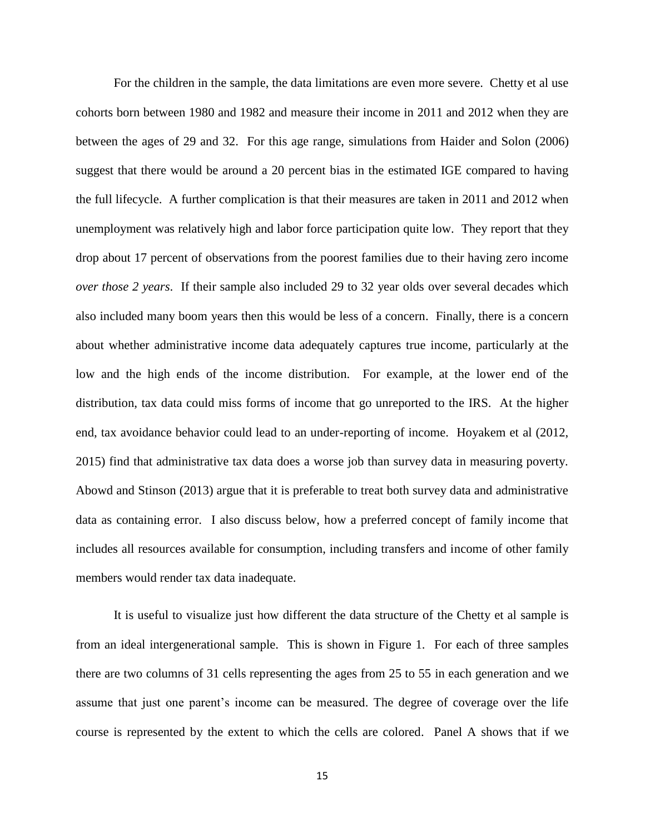For the children in the sample, the data limitations are even more severe. Chetty et al use cohorts born between 1980 and 1982 and measure their income in 2011 and 2012 when they are between the ages of 29 and 32. For this age range, simulations from Haider and Solon (2006) suggest that there would be around a 20 percent bias in the estimated IGE compared to having the full lifecycle. A further complication is that their measures are taken in 2011 and 2012 when unemployment was relatively high and labor force participation quite low. They report that they drop about 17 percent of observations from the poorest families due to their having zero income *over those 2 years*. If their sample also included 29 to 32 year olds over several decades which also included many boom years then this would be less of a concern. Finally, there is a concern about whether administrative income data adequately captures true income, particularly at the low and the high ends of the income distribution. For example, at the lower end of the distribution, tax data could miss forms of income that go unreported to the IRS. At the higher end, tax avoidance behavior could lead to an under-reporting of income. Hoyakem et al (2012, 2015) find that administrative tax data does a worse job than survey data in measuring poverty. Abowd and Stinson (2013) argue that it is preferable to treat both survey data and administrative data as containing error. I also discuss below, how a preferred concept of family income that includes all resources available for consumption, including transfers and income of other family members would render tax data inadequate.

It is useful to visualize just how different the data structure of the Chetty et al sample is from an ideal intergenerational sample. This is shown in Figure 1. For each of three samples there are two columns of 31 cells representing the ages from 25 to 55 in each generation and we assume that just one parent's income can be measured. The degree of coverage over the life course is represented by the extent to which the cells are colored. Panel A shows that if we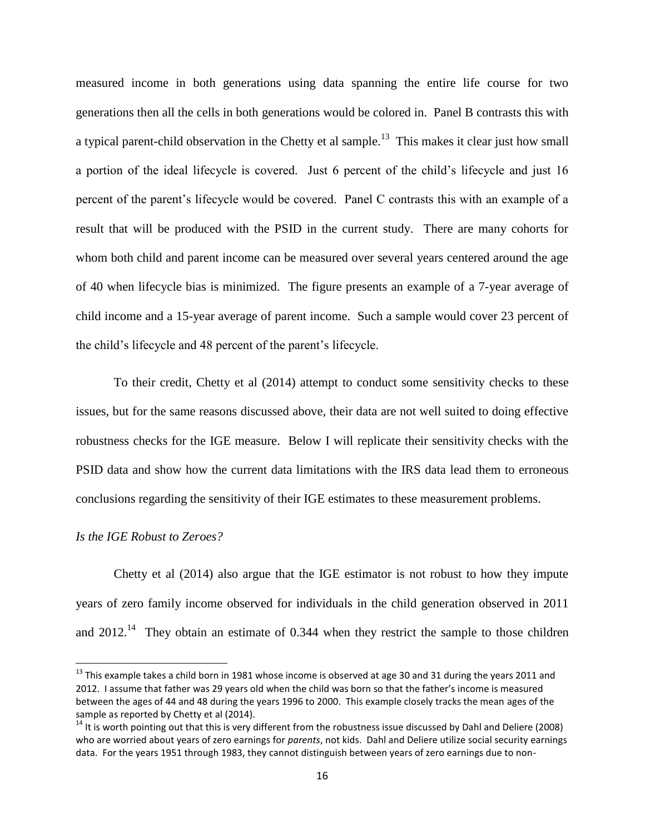measured income in both generations using data spanning the entire life course for two generations then all the cells in both generations would be colored in. Panel B contrasts this with a typical parent-child observation in the Chetty et al sample.<sup>13</sup> This makes it clear just how small a portion of the ideal lifecycle is covered. Just 6 percent of the child's lifecycle and just 16 percent of the parent's lifecycle would be covered. Panel C contrasts this with an example of a result that will be produced with the PSID in the current study. There are many cohorts for whom both child and parent income can be measured over several years centered around the age of 40 when lifecycle bias is minimized. The figure presents an example of a 7-year average of child income and a 15-year average of parent income. Such a sample would cover 23 percent of the child's lifecycle and 48 percent of the parent's lifecycle.

To their credit, Chetty et al (2014) attempt to conduct some sensitivity checks to these issues, but for the same reasons discussed above, their data are not well suited to doing effective robustness checks for the IGE measure. Below I will replicate their sensitivity checks with the PSID data and show how the current data limitations with the IRS data lead them to erroneous conclusions regarding the sensitivity of their IGE estimates to these measurement problems.

#### *Is the IGE Robust to Zeroes?*

 $\overline{\phantom{a}}$ 

Chetty et al (2014) also argue that the IGE estimator is not robust to how they impute years of zero family income observed for individuals in the child generation observed in 2011 and  $2012$ <sup>14</sup> They obtain an estimate of 0.344 when they restrict the sample to those children

 $^{13}$  This example takes a child born in 1981 whose income is observed at age 30 and 31 during the years 2011 and 2012. I assume that father was 29 years old when the child was born so that the father's income is measured between the ages of 44 and 48 during the years 1996 to 2000. This example closely tracks the mean ages of the sample as reported by Chetty et al (2014).

 $14$  It is worth pointing out that this is very different from the robustness issue discussed by Dahl and Deliere (2008) who are worried about years of zero earnings for *parents*, not kids. Dahl and Deliere utilize social security earnings data. For the years 1951 through 1983, they cannot distinguish between years of zero earnings due to non-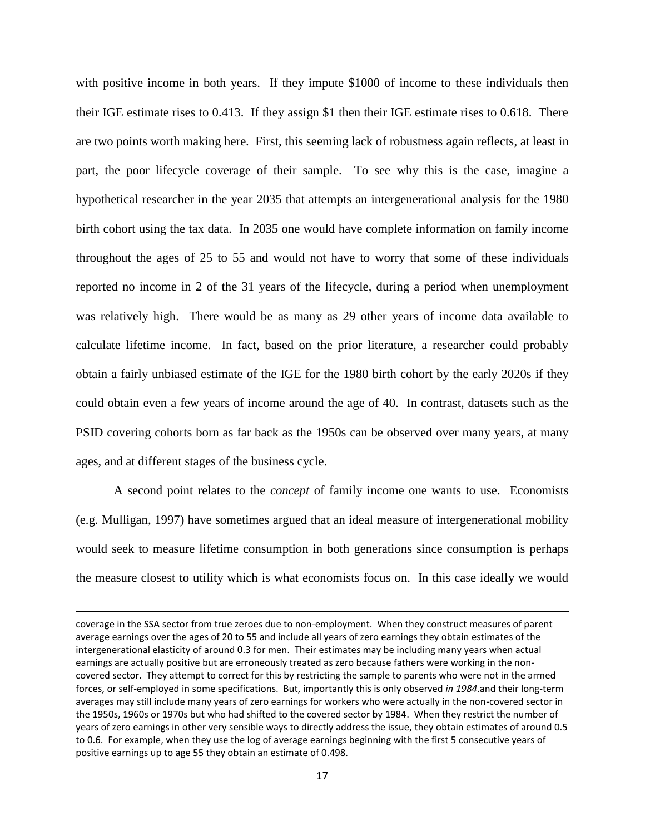with positive income in both years. If they impute \$1000 of income to these individuals then their IGE estimate rises to 0.413. If they assign \$1 then their IGE estimate rises to 0.618. There are two points worth making here. First, this seeming lack of robustness again reflects, at least in part, the poor lifecycle coverage of their sample. To see why this is the case, imagine a hypothetical researcher in the year 2035 that attempts an intergenerational analysis for the 1980 birth cohort using the tax data. In 2035 one would have complete information on family income throughout the ages of 25 to 55 and would not have to worry that some of these individuals reported no income in 2 of the 31 years of the lifecycle, during a period when unemployment was relatively high. There would be as many as 29 other years of income data available to calculate lifetime income. In fact, based on the prior literature, a researcher could probably obtain a fairly unbiased estimate of the IGE for the 1980 birth cohort by the early 2020s if they could obtain even a few years of income around the age of 40. In contrast, datasets such as the PSID covering cohorts born as far back as the 1950s can be observed over many years, at many ages, and at different stages of the business cycle.

A second point relates to the *concept* of family income one wants to use. Economists (e.g. Mulligan, 1997) have sometimes argued that an ideal measure of intergenerational mobility would seek to measure lifetime consumption in both generations since consumption is perhaps the measure closest to utility which is what economists focus on. In this case ideally we would

 $\overline{a}$ 

coverage in the SSA sector from true zeroes due to non-employment. When they construct measures of parent average earnings over the ages of 20 to 55 and include all years of zero earnings they obtain estimates of the intergenerational elasticity of around 0.3 for men. Their estimates may be including many years when actual earnings are actually positive but are erroneously treated as zero because fathers were working in the noncovered sector. They attempt to correct for this by restricting the sample to parents who were not in the armed forces, or self-employed in some specifications. But, importantly this is only observed *in 1984*.and their long-term averages may still include many years of zero earnings for workers who were actually in the non-covered sector in the 1950s, 1960s or 1970s but who had shifted to the covered sector by 1984. When they restrict the number of years of zero earnings in other very sensible ways to directly address the issue, they obtain estimates of around 0.5 to 0.6. For example, when they use the log of average earnings beginning with the first 5 consecutive years of positive earnings up to age 55 they obtain an estimate of 0.498.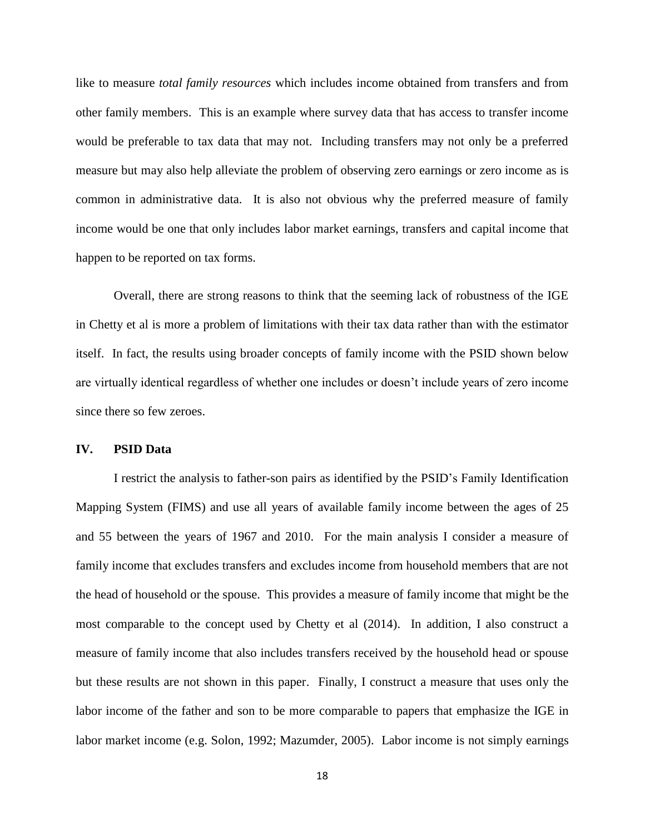like to measure *total family resources* which includes income obtained from transfers and from other family members. This is an example where survey data that has access to transfer income would be preferable to tax data that may not. Including transfers may not only be a preferred measure but may also help alleviate the problem of observing zero earnings or zero income as is common in administrative data. It is also not obvious why the preferred measure of family income would be one that only includes labor market earnings, transfers and capital income that happen to be reported on tax forms.

Overall, there are strong reasons to think that the seeming lack of robustness of the IGE in Chetty et al is more a problem of limitations with their tax data rather than with the estimator itself. In fact, the results using broader concepts of family income with the PSID shown below are virtually identical regardless of whether one includes or doesn't include years of zero income since there so few zeroes.

#### **IV. PSID Data**

I restrict the analysis to father-son pairs as identified by the PSID's Family Identification Mapping System (FIMS) and use all years of available family income between the ages of 25 and 55 between the years of 1967 and 2010. For the main analysis I consider a measure of family income that excludes transfers and excludes income from household members that are not the head of household or the spouse. This provides a measure of family income that might be the most comparable to the concept used by Chetty et al (2014). In addition, I also construct a measure of family income that also includes transfers received by the household head or spouse but these results are not shown in this paper. Finally, I construct a measure that uses only the labor income of the father and son to be more comparable to papers that emphasize the IGE in labor market income (e.g. Solon, 1992; Mazumder, 2005). Labor income is not simply earnings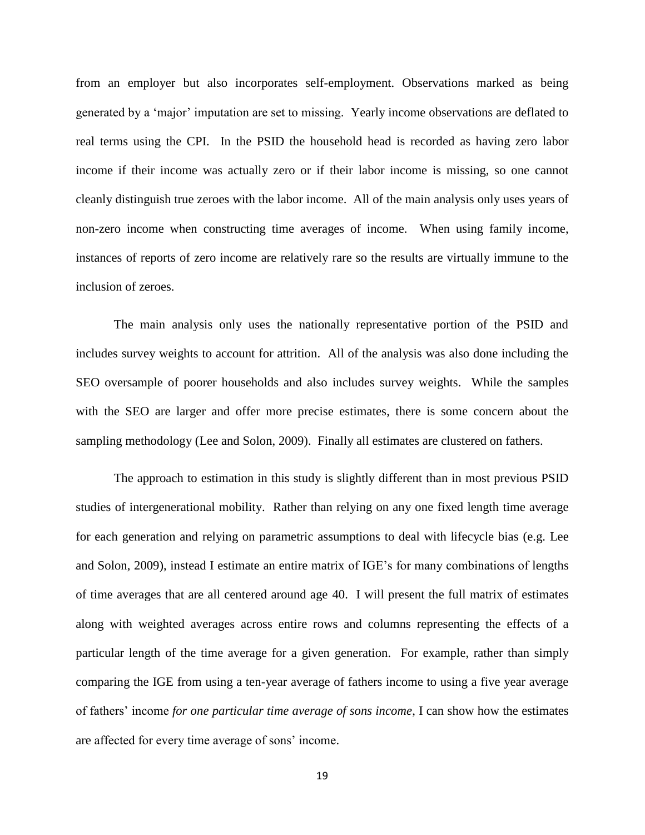from an employer but also incorporates self-employment. Observations marked as being generated by a 'major' imputation are set to missing. Yearly income observations are deflated to real terms using the CPI. In the PSID the household head is recorded as having zero labor income if their income was actually zero or if their labor income is missing, so one cannot cleanly distinguish true zeroes with the labor income. All of the main analysis only uses years of non-zero income when constructing time averages of income. When using family income, instances of reports of zero income are relatively rare so the results are virtually immune to the inclusion of zeroes.

The main analysis only uses the nationally representative portion of the PSID and includes survey weights to account for attrition. All of the analysis was also done including the SEO oversample of poorer households and also includes survey weights. While the samples with the SEO are larger and offer more precise estimates, there is some concern about the sampling methodology (Lee and Solon, 2009). Finally all estimates are clustered on fathers.

The approach to estimation in this study is slightly different than in most previous PSID studies of intergenerational mobility. Rather than relying on any one fixed length time average for each generation and relying on parametric assumptions to deal with lifecycle bias (e.g. Lee and Solon, 2009), instead I estimate an entire matrix of IGE's for many combinations of lengths of time averages that are all centered around age 40. I will present the full matrix of estimates along with weighted averages across entire rows and columns representing the effects of a particular length of the time average for a given generation. For example, rather than simply comparing the IGE from using a ten-year average of fathers income to using a five year average of fathers' income *for one particular time average of sons income*, I can show how the estimates are affected for every time average of sons' income.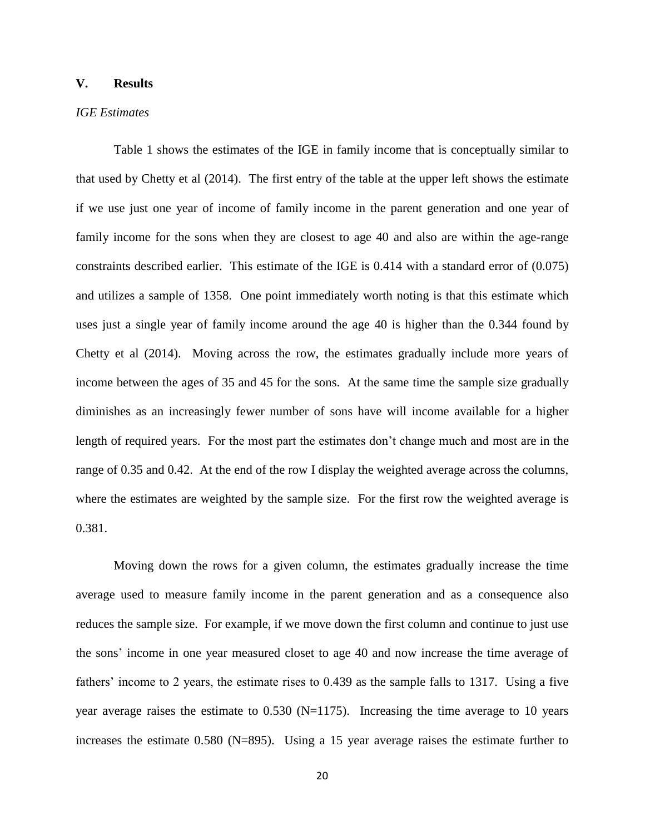## **V. Results**

## *IGE Estimates*

Table 1 shows the estimates of the IGE in family income that is conceptually similar to that used by Chetty et al (2014). The first entry of the table at the upper left shows the estimate if we use just one year of income of family income in the parent generation and one year of family income for the sons when they are closest to age 40 and also are within the age-range constraints described earlier. This estimate of the IGE is 0.414 with a standard error of (0.075) and utilizes a sample of 1358. One point immediately worth noting is that this estimate which uses just a single year of family income around the age 40 is higher than the 0.344 found by Chetty et al (2014). Moving across the row, the estimates gradually include more years of income between the ages of 35 and 45 for the sons. At the same time the sample size gradually diminishes as an increasingly fewer number of sons have will income available for a higher length of required years. For the most part the estimates don't change much and most are in the range of 0.35 and 0.42. At the end of the row I display the weighted average across the columns, where the estimates are weighted by the sample size. For the first row the weighted average is 0.381.

Moving down the rows for a given column, the estimates gradually increase the time average used to measure family income in the parent generation and as a consequence also reduces the sample size. For example, if we move down the first column and continue to just use the sons' income in one year measured closet to age 40 and now increase the time average of fathers' income to 2 years, the estimate rises to 0.439 as the sample falls to 1317. Using a five year average raises the estimate to  $0.530$  (N=1175). Increasing the time average to 10 years increases the estimate 0.580 (N=895). Using a 15 year average raises the estimate further to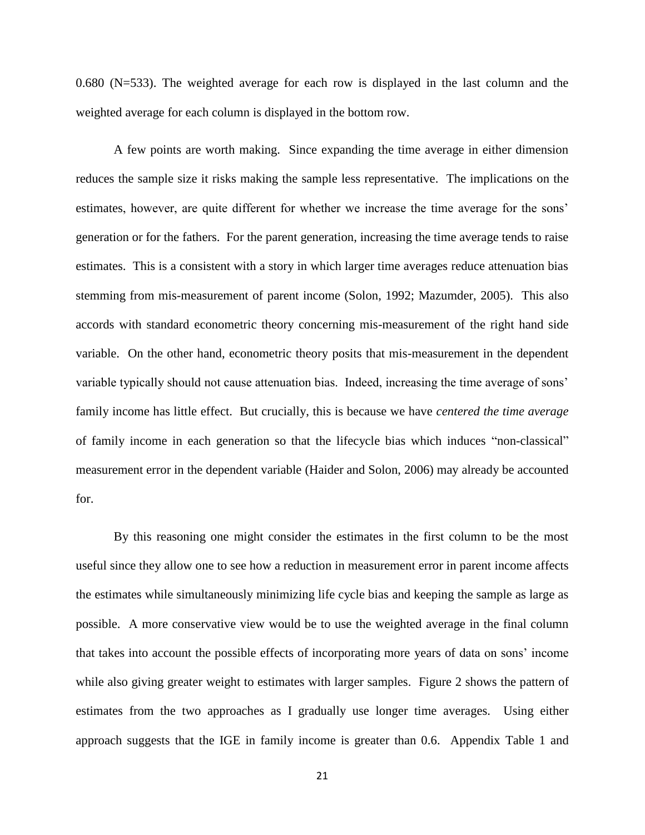0.680 (N=533). The weighted average for each row is displayed in the last column and the weighted average for each column is displayed in the bottom row.

A few points are worth making. Since expanding the time average in either dimension reduces the sample size it risks making the sample less representative. The implications on the estimates, however, are quite different for whether we increase the time average for the sons' generation or for the fathers. For the parent generation, increasing the time average tends to raise estimates. This is a consistent with a story in which larger time averages reduce attenuation bias stemming from mis-measurement of parent income (Solon, 1992; Mazumder, 2005). This also accords with standard econometric theory concerning mis-measurement of the right hand side variable. On the other hand, econometric theory posits that mis-measurement in the dependent variable typically should not cause attenuation bias. Indeed, increasing the time average of sons' family income has little effect. But crucially, this is because we have *centered the time average* of family income in each generation so that the lifecycle bias which induces "non-classical" measurement error in the dependent variable (Haider and Solon, 2006) may already be accounted for.

By this reasoning one might consider the estimates in the first column to be the most useful since they allow one to see how a reduction in measurement error in parent income affects the estimates while simultaneously minimizing life cycle bias and keeping the sample as large as possible. A more conservative view would be to use the weighted average in the final column that takes into account the possible effects of incorporating more years of data on sons' income while also giving greater weight to estimates with larger samples. Figure 2 shows the pattern of estimates from the two approaches as I gradually use longer time averages. Using either approach suggests that the IGE in family income is greater than 0.6. Appendix Table 1 and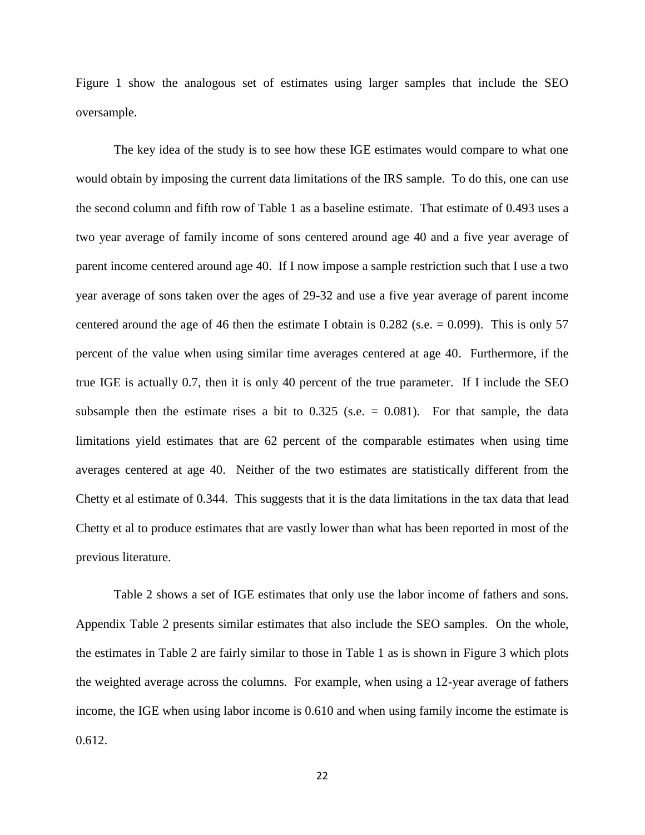Figure 1 show the analogous set of estimates using larger samples that include the SEO oversample.

The key idea of the study is to see how these IGE estimates would compare to what one would obtain by imposing the current data limitations of the IRS sample. To do this, one can use the second column and fifth row of Table 1 as a baseline estimate. That estimate of 0.493 uses a two year average of family income of sons centered around age 40 and a five year average of parent income centered around age 40. If I now impose a sample restriction such that I use a two year average of sons taken over the ages of 29-32 and use a five year average of parent income centered around the age of 46 then the estimate I obtain is  $0.282$  (s.e.  $= 0.099$ ). This is only 57 percent of the value when using similar time averages centered at age 40. Furthermore, if the true IGE is actually 0.7, then it is only 40 percent of the true parameter. If I include the SEO subsample then the estimate rises a bit to  $0.325$  (s.e.  $= 0.081$ ). For that sample, the data limitations yield estimates that are 62 percent of the comparable estimates when using time averages centered at age 40. Neither of the two estimates are statistically different from the Chetty et al estimate of 0.344. This suggests that it is the data limitations in the tax data that lead Chetty et al to produce estimates that are vastly lower than what has been reported in most of the previous literature.

Table 2 shows a set of IGE estimates that only use the labor income of fathers and sons. Appendix Table 2 presents similar estimates that also include the SEO samples. On the whole, the estimates in Table 2 are fairly similar to those in Table 1 as is shown in Figure 3 which plots the weighted average across the columns. For example, when using a 12-year average of fathers income, the IGE when using labor income is 0.610 and when using family income the estimate is 0.612.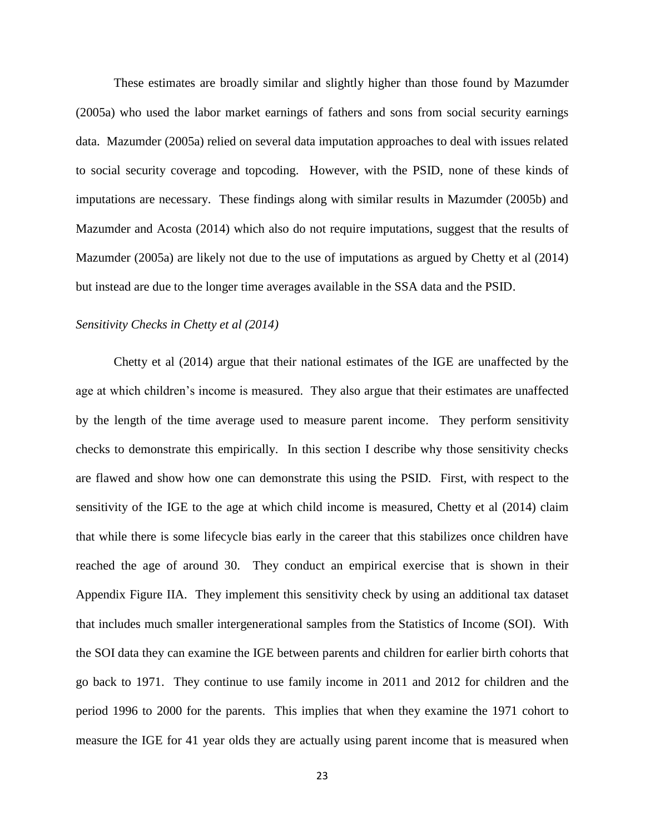These estimates are broadly similar and slightly higher than those found by Mazumder (2005a) who used the labor market earnings of fathers and sons from social security earnings data. Mazumder (2005a) relied on several data imputation approaches to deal with issues related to social security coverage and topcoding. However, with the PSID, none of these kinds of imputations are necessary. These findings along with similar results in Mazumder (2005b) and Mazumder and Acosta (2014) which also do not require imputations, suggest that the results of Mazumder (2005a) are likely not due to the use of imputations as argued by Chetty et al (2014) but instead are due to the longer time averages available in the SSA data and the PSID.

## *Sensitivity Checks in Chetty et al (2014)*

Chetty et al (2014) argue that their national estimates of the IGE are unaffected by the age at which children's income is measured. They also argue that their estimates are unaffected by the length of the time average used to measure parent income. They perform sensitivity checks to demonstrate this empirically. In this section I describe why those sensitivity checks are flawed and show how one can demonstrate this using the PSID. First, with respect to the sensitivity of the IGE to the age at which child income is measured, Chetty et al (2014) claim that while there is some lifecycle bias early in the career that this stabilizes once children have reached the age of around 30. They conduct an empirical exercise that is shown in their Appendix Figure IIA. They implement this sensitivity check by using an additional tax dataset that includes much smaller intergenerational samples from the Statistics of Income (SOI). With the SOI data they can examine the IGE between parents and children for earlier birth cohorts that go back to 1971. They continue to use family income in 2011 and 2012 for children and the period 1996 to 2000 for the parents. This implies that when they examine the 1971 cohort to measure the IGE for 41 year olds they are actually using parent income that is measured when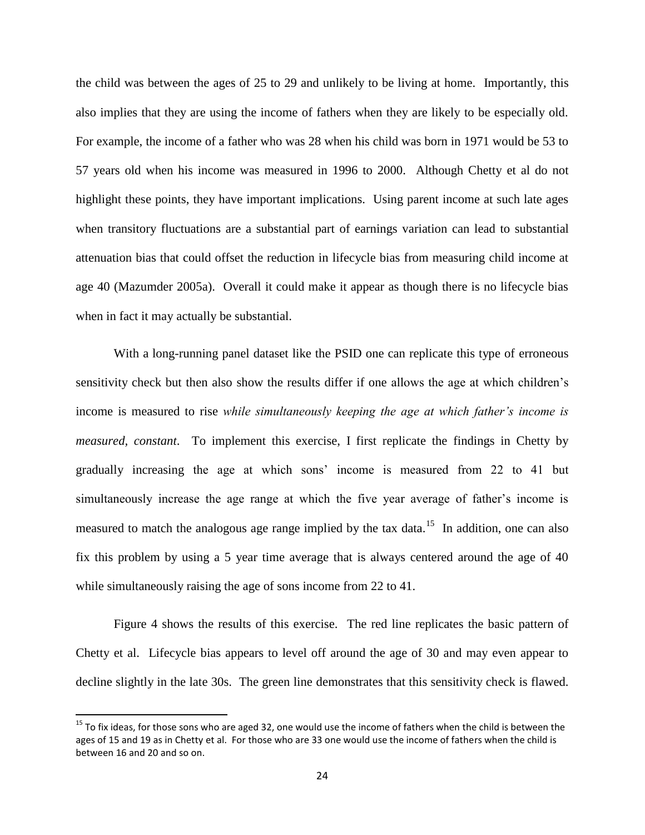the child was between the ages of 25 to 29 and unlikely to be living at home. Importantly, this also implies that they are using the income of fathers when they are likely to be especially old. For example, the income of a father who was 28 when his child was born in 1971 would be 53 to 57 years old when his income was measured in 1996 to 2000. Although Chetty et al do not highlight these points, they have important implications. Using parent income at such late ages when transitory fluctuations are a substantial part of earnings variation can lead to substantial attenuation bias that could offset the reduction in lifecycle bias from measuring child income at age 40 (Mazumder 2005a). Overall it could make it appear as though there is no lifecycle bias when in fact it may actually be substantial.

With a long-running panel dataset like the PSID one can replicate this type of erroneous sensitivity check but then also show the results differ if one allows the age at which children's income is measured to rise *while simultaneously keeping the age at which father's income is measured, constant*. To implement this exercise, I first replicate the findings in Chetty by gradually increasing the age at which sons' income is measured from 22 to 41 but simultaneously increase the age range at which the five year average of father's income is measured to match the analogous age range implied by the tax data.<sup>15</sup> In addition, one can also fix this problem by using a 5 year time average that is always centered around the age of 40 while simultaneously raising the age of sons income from 22 to 41.

Figure 4 shows the results of this exercise. The red line replicates the basic pattern of Chetty et al. Lifecycle bias appears to level off around the age of 30 and may even appear to decline slightly in the late 30s. The green line demonstrates that this sensitivity check is flawed.

 $\overline{\phantom{a}}$ 

<sup>&</sup>lt;sup>15</sup> To fix ideas, for those sons who are aged 32, one would use the income of fathers when the child is between the ages of 15 and 19 as in Chetty et al. For those who are 33 one would use the income of fathers when the child is between 16 and 20 and so on.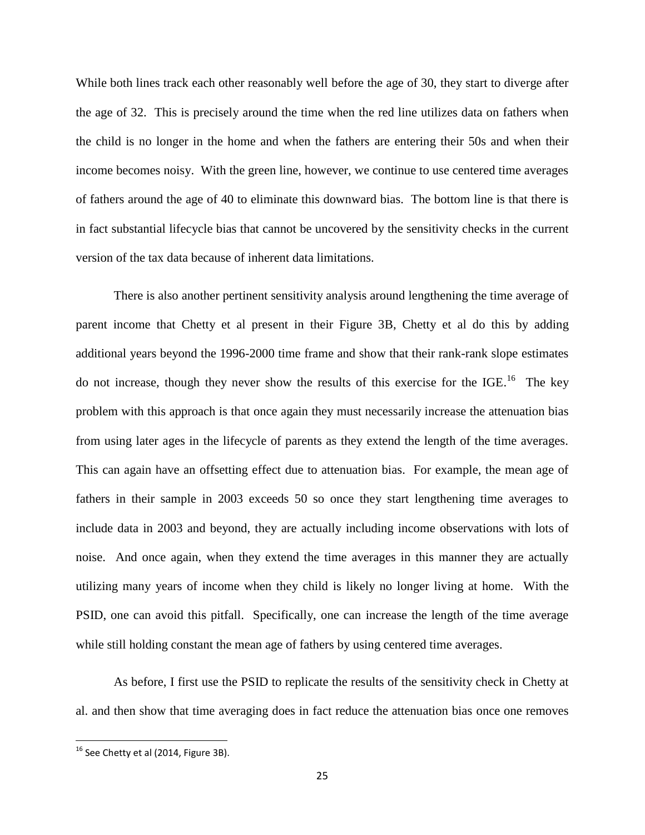While both lines track each other reasonably well before the age of 30, they start to diverge after the age of 32. This is precisely around the time when the red line utilizes data on fathers when the child is no longer in the home and when the fathers are entering their 50s and when their income becomes noisy. With the green line, however, we continue to use centered time averages of fathers around the age of 40 to eliminate this downward bias. The bottom line is that there is in fact substantial lifecycle bias that cannot be uncovered by the sensitivity checks in the current version of the tax data because of inherent data limitations.

There is also another pertinent sensitivity analysis around lengthening the time average of parent income that Chetty et al present in their Figure 3B, Chetty et al do this by adding additional years beyond the 1996-2000 time frame and show that their rank-rank slope estimates do not increase, though they never show the results of this exercise for the IGE.<sup>16</sup> The key problem with this approach is that once again they must necessarily increase the attenuation bias from using later ages in the lifecycle of parents as they extend the length of the time averages. This can again have an offsetting effect due to attenuation bias. For example, the mean age of fathers in their sample in 2003 exceeds 50 so once they start lengthening time averages to include data in 2003 and beyond, they are actually including income observations with lots of noise. And once again, when they extend the time averages in this manner they are actually utilizing many years of income when they child is likely no longer living at home. With the PSID, one can avoid this pitfall. Specifically, one can increase the length of the time average while still holding constant the mean age of fathers by using centered time averages.

As before, I first use the PSID to replicate the results of the sensitivity check in Chetty at al. and then show that time averaging does in fact reduce the attenuation bias once one removes

 $\overline{\phantom{a}}$ 

 $^{16}$  See Chetty et al (2014, Figure 3B).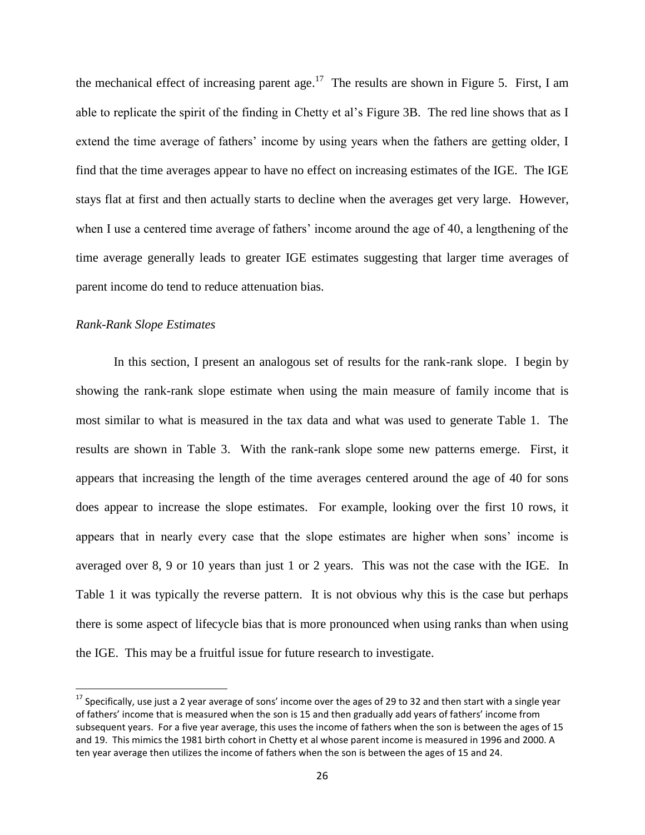the mechanical effect of increasing parent age.<sup>17</sup> The results are shown in Figure 5. First, I am able to replicate the spirit of the finding in Chetty et al's Figure 3B. The red line shows that as I extend the time average of fathers' income by using years when the fathers are getting older, I find that the time averages appear to have no effect on increasing estimates of the IGE. The IGE stays flat at first and then actually starts to decline when the averages get very large. However, when I use a centered time average of fathers' income around the age of 40, a lengthening of the time average generally leads to greater IGE estimates suggesting that larger time averages of parent income do tend to reduce attenuation bias.

## *Rank-Rank Slope Estimates*

l

In this section, I present an analogous set of results for the rank-rank slope. I begin by showing the rank-rank slope estimate when using the main measure of family income that is most similar to what is measured in the tax data and what was used to generate Table 1. The results are shown in Table 3. With the rank-rank slope some new patterns emerge. First, it appears that increasing the length of the time averages centered around the age of 40 for sons does appear to increase the slope estimates. For example, looking over the first 10 rows, it appears that in nearly every case that the slope estimates are higher when sons' income is averaged over 8, 9 or 10 years than just 1 or 2 years. This was not the case with the IGE. In Table 1 it was typically the reverse pattern. It is not obvious why this is the case but perhaps there is some aspect of lifecycle bias that is more pronounced when using ranks than when using the IGE. This may be a fruitful issue for future research to investigate.

 $17$  Specifically, use just a 2 year average of sons' income over the ages of 29 to 32 and then start with a single year of fathers' income that is measured when the son is 15 and then gradually add years of fathers' income from subsequent years. For a five year average, this uses the income of fathers when the son is between the ages of 15 and 19. This mimics the 1981 birth cohort in Chetty et al whose parent income is measured in 1996 and 2000. A ten year average then utilizes the income of fathers when the son is between the ages of 15 and 24.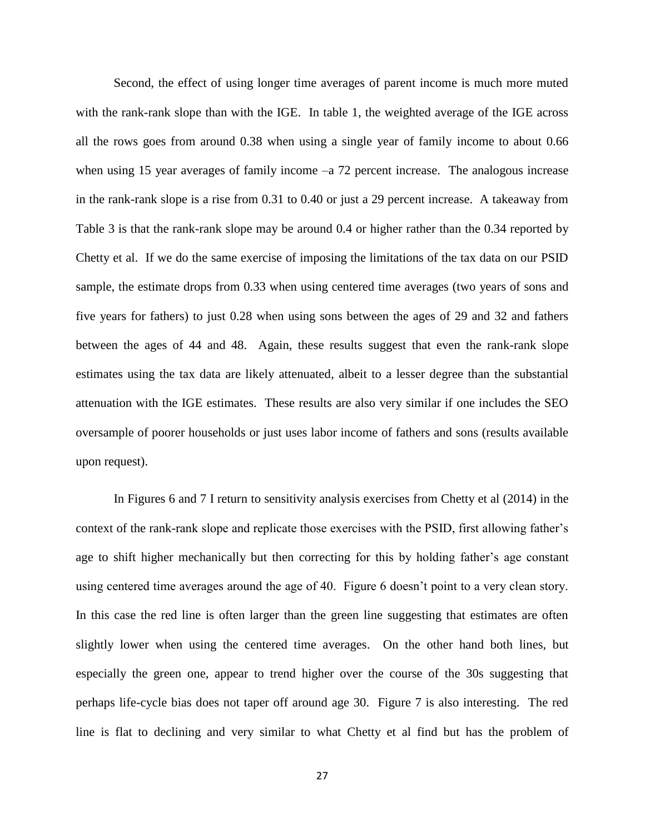Second, the effect of using longer time averages of parent income is much more muted with the rank-rank slope than with the IGE. In table 1, the weighted average of the IGE across all the rows goes from around 0.38 when using a single year of family income to about 0.66 when using 15 year averages of family income –a 72 percent increase. The analogous increase in the rank-rank slope is a rise from 0.31 to 0.40 or just a 29 percent increase. A takeaway from Table 3 is that the rank-rank slope may be around 0.4 or higher rather than the 0.34 reported by Chetty et al. If we do the same exercise of imposing the limitations of the tax data on our PSID sample, the estimate drops from 0.33 when using centered time averages (two years of sons and five years for fathers) to just 0.28 when using sons between the ages of 29 and 32 and fathers between the ages of 44 and 48. Again, these results suggest that even the rank-rank slope estimates using the tax data are likely attenuated, albeit to a lesser degree than the substantial attenuation with the IGE estimates. These results are also very similar if one includes the SEO oversample of poorer households or just uses labor income of fathers and sons (results available upon request).

In Figures 6 and 7 I return to sensitivity analysis exercises from Chetty et al (2014) in the context of the rank-rank slope and replicate those exercises with the PSID, first allowing father's age to shift higher mechanically but then correcting for this by holding father's age constant using centered time averages around the age of 40. Figure 6 doesn't point to a very clean story. In this case the red line is often larger than the green line suggesting that estimates are often slightly lower when using the centered time averages. On the other hand both lines, but especially the green one, appear to trend higher over the course of the 30s suggesting that perhaps life-cycle bias does not taper off around age 30. Figure 7 is also interesting. The red line is flat to declining and very similar to what Chetty et al find but has the problem of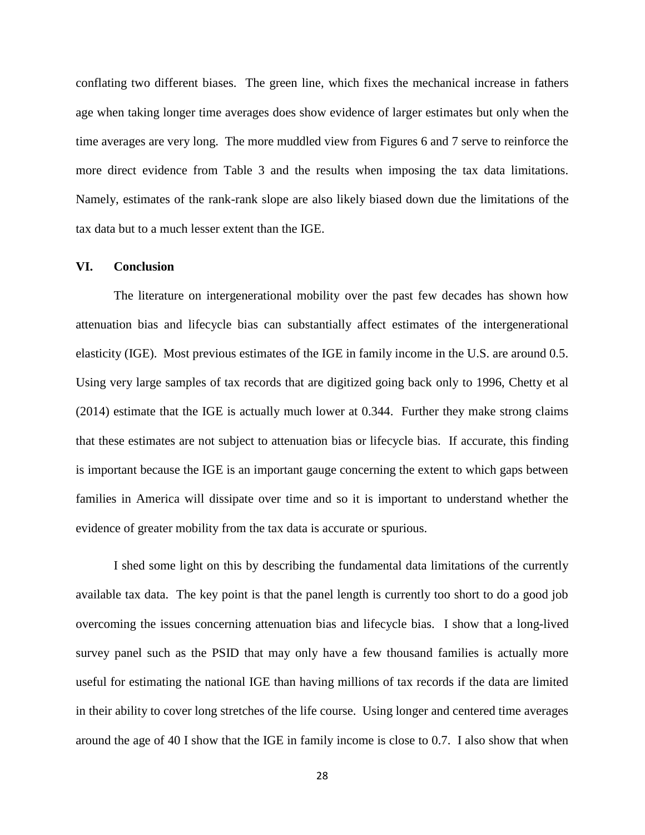conflating two different biases. The green line, which fixes the mechanical increase in fathers age when taking longer time averages does show evidence of larger estimates but only when the time averages are very long. The more muddled view from Figures 6 and 7 serve to reinforce the more direct evidence from Table 3 and the results when imposing the tax data limitations. Namely, estimates of the rank-rank slope are also likely biased down due the limitations of the tax data but to a much lesser extent than the IGE.

#### **VI. Conclusion**

The literature on intergenerational mobility over the past few decades has shown how attenuation bias and lifecycle bias can substantially affect estimates of the intergenerational elasticity (IGE). Most previous estimates of the IGE in family income in the U.S. are around 0.5. Using very large samples of tax records that are digitized going back only to 1996, Chetty et al (2014) estimate that the IGE is actually much lower at 0.344. Further they make strong claims that these estimates are not subject to attenuation bias or lifecycle bias. If accurate, this finding is important because the IGE is an important gauge concerning the extent to which gaps between families in America will dissipate over time and so it is important to understand whether the evidence of greater mobility from the tax data is accurate or spurious.

I shed some light on this by describing the fundamental data limitations of the currently available tax data. The key point is that the panel length is currently too short to do a good job overcoming the issues concerning attenuation bias and lifecycle bias. I show that a long-lived survey panel such as the PSID that may only have a few thousand families is actually more useful for estimating the national IGE than having millions of tax records if the data are limited in their ability to cover long stretches of the life course. Using longer and centered time averages around the age of 40 I show that the IGE in family income is close to 0.7. I also show that when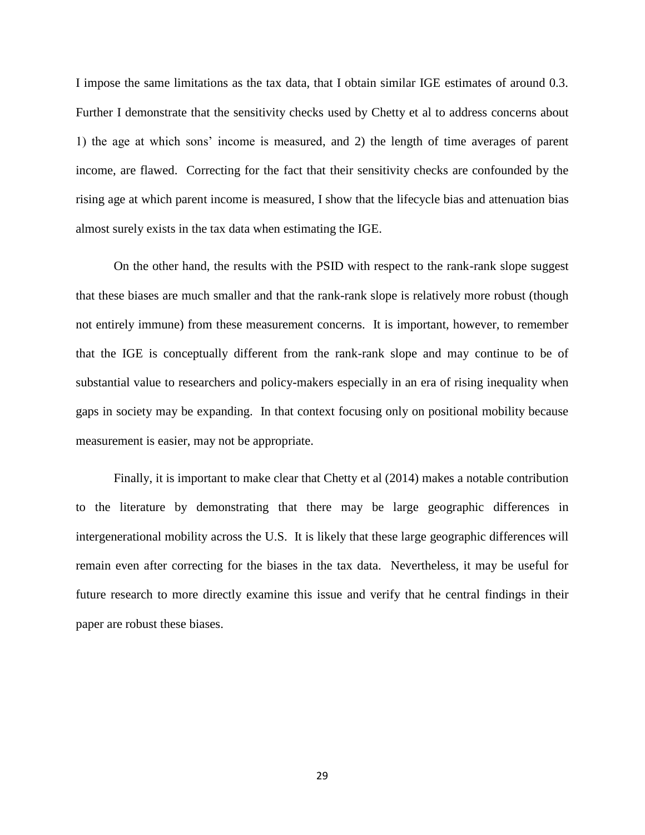I impose the same limitations as the tax data, that I obtain similar IGE estimates of around 0.3. Further I demonstrate that the sensitivity checks used by Chetty et al to address concerns about 1) the age at which sons' income is measured, and 2) the length of time averages of parent income, are flawed. Correcting for the fact that their sensitivity checks are confounded by the rising age at which parent income is measured, I show that the lifecycle bias and attenuation bias almost surely exists in the tax data when estimating the IGE.

On the other hand, the results with the PSID with respect to the rank-rank slope suggest that these biases are much smaller and that the rank-rank slope is relatively more robust (though not entirely immune) from these measurement concerns. It is important, however, to remember that the IGE is conceptually different from the rank-rank slope and may continue to be of substantial value to researchers and policy-makers especially in an era of rising inequality when gaps in society may be expanding. In that context focusing only on positional mobility because measurement is easier, may not be appropriate.

Finally, it is important to make clear that Chetty et al (2014) makes a notable contribution to the literature by demonstrating that there may be large geographic differences in intergenerational mobility across the U.S. It is likely that these large geographic differences will remain even after correcting for the biases in the tax data. Nevertheless, it may be useful for future research to more directly examine this issue and verify that he central findings in their paper are robust these biases.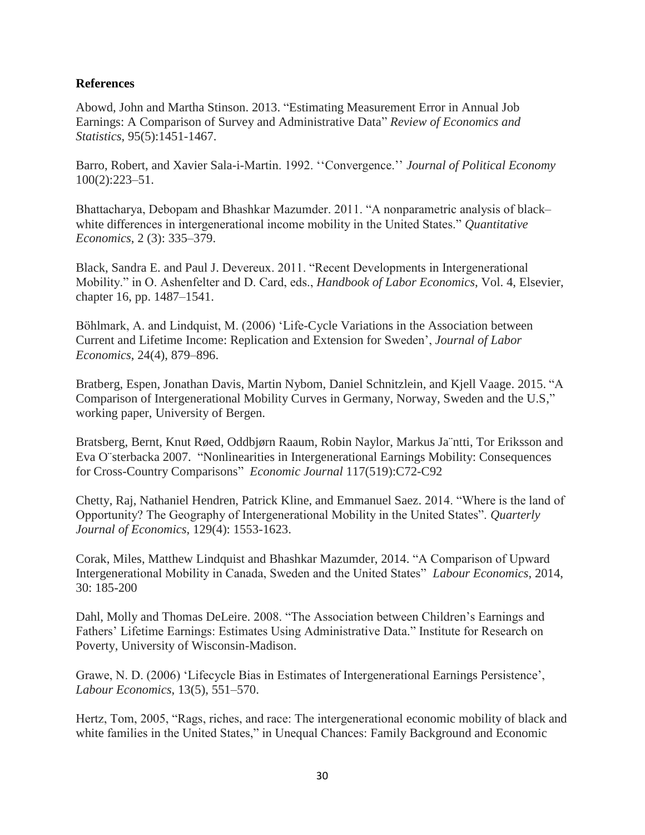# **References**

Abowd, John and Martha Stinson. 2013. "Estimating Measurement Error in Annual Job Earnings: A Comparison of Survey and Administrative Data" *Review of Economics and Statistics*, 95(5):1451-1467.

Barro, Robert, and Xavier Sala-i-Martin. 1992. ''Convergence.'' *Journal of Political Economy* 100(2):223–51.

Bhattacharya, Debopam and Bhashkar Mazumder. 2011. "A nonparametric analysis of black– white differences in intergenerational income mobility in the United States." *Quantitative Economics*, 2 (3): 335–379.

Black, Sandra E. and Paul J. Devereux. 2011. "Recent Developments in Intergenerational Mobility." in O. Ashenfelter and D. Card, eds., *Handbook of Labor Economics*, Vol. 4, Elsevier, chapter 16, pp. 1487–1541.

Böhlmark, A. and Lindquist, M. (2006) 'Life-Cycle Variations in the Association between Current and Lifetime Income: Replication and Extension for Sweden', *Journal of Labor Economics*, 24(4), 879–896.

Bratberg, Espen, Jonathan Davis, Martin Nybom, Daniel Schnitzlein, and Kjell Vaage. 2015. "A Comparison of Intergenerational Mobility Curves in Germany, Norway, Sweden and the U.S," working paper, University of Bergen.

Bratsberg, Bernt, Knut Røed, Oddbjørn Raaum, Robin Naylor, Markus Ja¨ntti, Tor Eriksson and Eva O¨sterbacka 2007. "Nonlinearities in Intergenerational Earnings Mobility: Consequences for Cross-Country Comparisons" *Economic Journal* 117(519):C72-C92

Chetty, Raj, Nathaniel Hendren, Patrick Kline, and Emmanuel Saez. 2014. "Where is the land of Opportunity? The Geography of Intergenerational Mobility in the United States". *Quarterly Journal of Economics*, 129(4): 1553-1623.

Corak, Miles, Matthew Lindquist and Bhashkar Mazumder, 2014. "A Comparison of Upward Intergenerational Mobility in Canada, Sweden and the United States" *Labour Economics*, 2014, 30: 185-200

Dahl, Molly and Thomas DeLeire. 2008. "The Association between Children's Earnings and Fathers' Lifetime Earnings: Estimates Using Administrative Data." Institute for Research on Poverty, University of Wisconsin-Madison.

Grawe, N. D. (2006) 'Lifecycle Bias in Estimates of Intergenerational Earnings Persistence', *Labour Economics*, 13(5), 551–570.

Hertz, Tom, 2005, "Rags, riches, and race: The intergenerational economic mobility of black and white families in the United States," in Unequal Chances: Family Background and Economic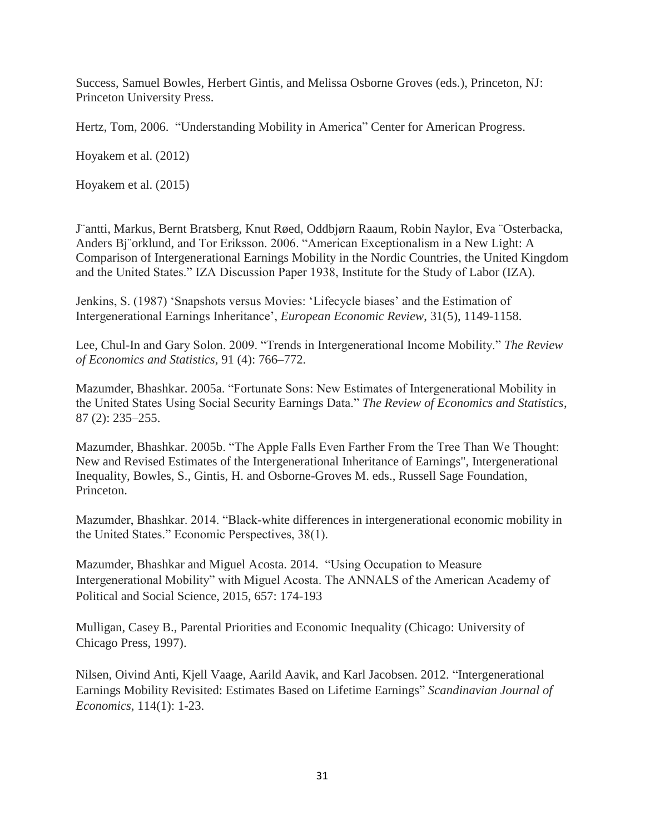Success, Samuel Bowles, Herbert Gintis, and Melissa Osborne Groves (eds.), Princeton, NJ: Princeton University Press.

Hertz, Tom, 2006. "Understanding Mobility in America" Center for American Progress.

Hoyakem et al. (2012)

Hoyakem et al. (2015)

J¨antti, Markus, Bernt Bratsberg, Knut Røed, Oddbjørn Raaum, Robin Naylor, Eva ¨Osterbacka, Anders Bj¨orklund, and Tor Eriksson. 2006. "American Exceptionalism in a New Light: A Comparison of Intergenerational Earnings Mobility in the Nordic Countries, the United Kingdom and the United States." IZA Discussion Paper 1938, Institute for the Study of Labor (IZA).

Jenkins, S. (1987) 'Snapshots versus Movies: 'Lifecycle biases' and the Estimation of Intergenerational Earnings Inheritance', *European Economic Review*, 31(5), 1149-1158.

Lee, Chul-In and Gary Solon. 2009. "Trends in Intergenerational Income Mobility." *The Review of Economics and Statistics*, 91 (4): 766–772.

Mazumder, Bhashkar. 2005a. "Fortunate Sons: New Estimates of Intergenerational Mobility in the United States Using Social Security Earnings Data." *The Review of Economics and Statistics*, 87 (2): 235–255.

Mazumder, Bhashkar. 2005b. "The Apple Falls Even Farther From the Tree Than We Thought: New and Revised Estimates of the Intergenerational Inheritance of Earnings", Intergenerational Inequality, Bowles, S., Gintis, H. and Osborne-Groves M. eds., Russell Sage Foundation, Princeton.

Mazumder, Bhashkar. 2014. "Black-white differences in intergenerational economic mobility in the United States." Economic Perspectives, 38(1).

Mazumder, Bhashkar and Miguel Acosta. 2014. "Using Occupation to Measure Intergenerational Mobility" with Miguel Acosta. The ANNALS of the American Academy of Political and Social Science, 2015, 657: 174-193

Mulligan, Casey B., Parental Priorities and Economic Inequality (Chicago: University of Chicago Press, 1997).

Nilsen, Oivind Anti, Kjell Vaage, Aarild Aavik, and Karl Jacobsen. 2012. "Intergenerational Earnings Mobility Revisited: Estimates Based on Lifetime Earnings" *Scandinavian Journal of Economics*, 114(1): 1-23.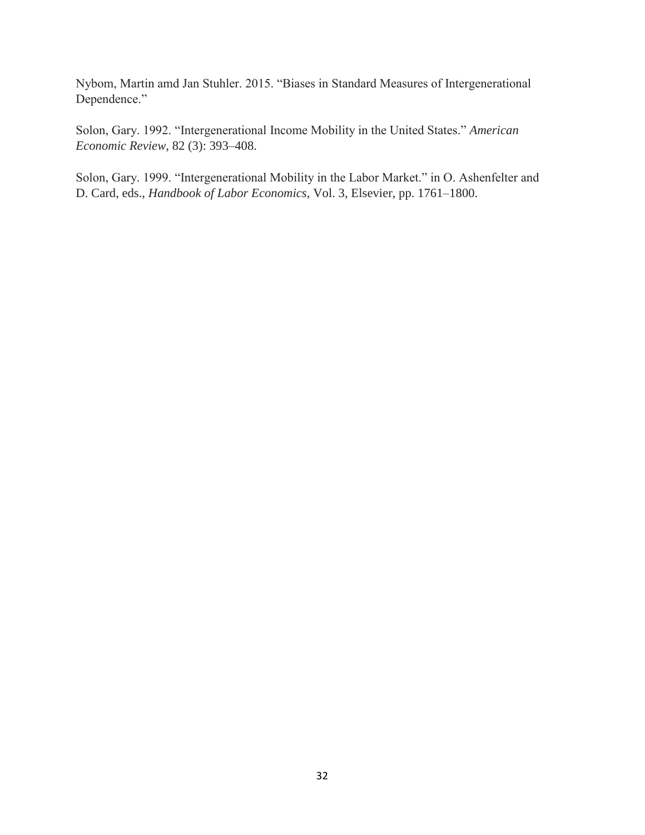Nybom, Martin amd Jan Stuhler. 2015. "Biases in Standard Measures of Intergenerational Dependence."

Solon, Gary. 1992. "Intergenerational Income Mobility in the United States." *American Economic Review*, 82 (3): 393–408.

Solon, Gary. 1999. "Intergenerational Mobility in the Labor Market." in O. Ashenfelter and D. Card, eds., *Handbook of Labor Economics*, Vol. 3, Elsevier, pp. 1761–1800.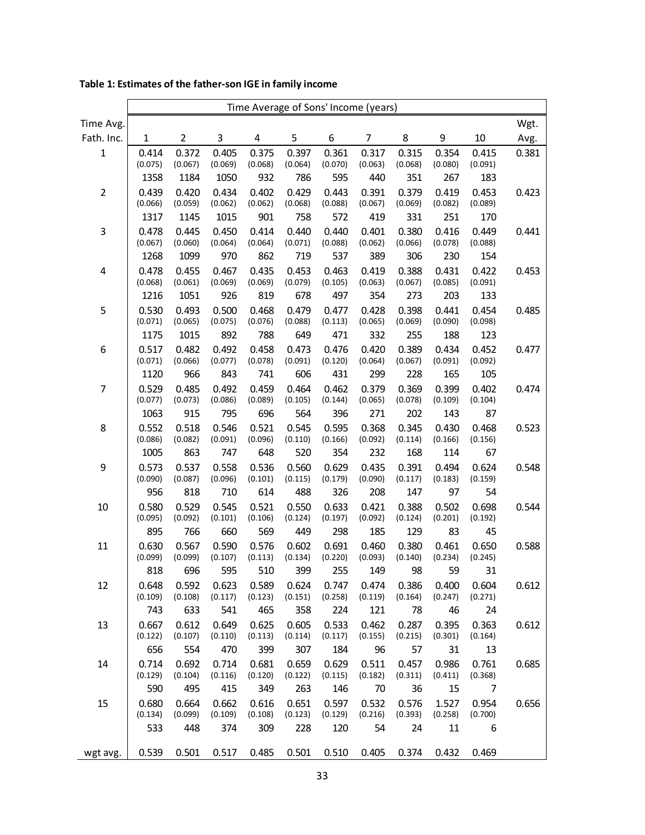|                         | Time Average of Sons' Income (years) |                                |                                |                                |                                |                                |                                |                                |                                |                                |       |
|-------------------------|--------------------------------------|--------------------------------|--------------------------------|--------------------------------|--------------------------------|--------------------------------|--------------------------------|--------------------------------|--------------------------------|--------------------------------|-------|
| Time Avg.               |                                      |                                |                                |                                |                                |                                |                                |                                |                                |                                | Wgt.  |
| Fath. Inc.              | $\mathbf{1}$                         | 2                              | 3                              | 4                              | 5                              | 6                              | $\overline{7}$                 | 8                              | 9                              | 10                             | Avg.  |
| $\mathbf{1}$            | 0.414<br>(0.075)                     | 0.372<br>(0.067)<br>1184       | 0.405<br>(0.069)<br>1050       | 0.375<br>(0.068)<br>932        | 0.397<br>(0.064)               | 0.361<br>(0.070)<br>595        | 0.317<br>(0.063)               | 0.315<br>(0.068)<br>351        | 0.354<br>(0.080)               | 0.415<br>(0.091)               | 0.381 |
| $\overline{2}$          | 1358<br>0.439<br>(0.066)<br>1317     | 0.420<br>(0.059)<br>1145       | 0.434<br>(0.062)<br>1015       | 0.402<br>(0.062)<br>901        | 786<br>0.429<br>(0.068)<br>758 | 0.443<br>(0.088)<br>572        | 440<br>0.391<br>(0.067)<br>419 | 0.379<br>(0.069)<br>331        | 267<br>0.419<br>(0.082)<br>251 | 183<br>0.453<br>(0.089)<br>170 | 0.423 |
| $\mathsf 3$             | 0.478<br>(0.067)<br>1268             | 0.445<br>(0.060)<br>1099       | 0.450<br>(0.064)<br>970        | 0.414<br>(0.064)<br>862        | 0.440<br>(0.071)<br>719        | 0.440<br>(0.088)<br>537        | 0.401<br>(0.062)<br>389        | 0.380<br>(0.066)<br>306        | 0.416<br>(0.078)<br>230        | 0.449<br>(0.088)<br>154        | 0.441 |
| $\overline{\mathbf{4}}$ | 0.478<br>(0.068)<br>1216             | 0.455<br>(0.061)<br>1051       | 0.467<br>(0.069)<br>926        | 0.435<br>(0.069)<br>819        | 0.453<br>(0.079)<br>678        | 0.463<br>(0.105)<br>497        | 0.419<br>(0.063)<br>354        | 0.388<br>(0.067)<br>273        | 0.431<br>(0.085)<br>203        | 0.422<br>(0.091)<br>133        | 0.453 |
| 5                       | 0.530<br>(0.071)<br>1175             | 0.493<br>(0.065)<br>1015       | 0.500<br>(0.075)<br>892        | 0.468<br>(0.076)<br>788        | 0.479<br>(0.088)<br>649        | 0.477<br>(0.113)<br>471        | 0.428<br>(0.065)<br>332        | 0.398<br>(0.069)<br>255        | 0.441<br>(0.090)<br>188        | 0.454<br>(0.098)<br>123        | 0.485 |
| $\boldsymbol{6}$        | 0.517<br>(0.071)<br>1120             | 0.482<br>(0.066)<br>966        | 0.492<br>(0.077)<br>843        | 0.458<br>(0.078)<br>741        | 0.473<br>(0.091)<br>606        | 0.476<br>(0.120)<br>431        | 0.420<br>(0.064)<br>299        | 0.389<br>(0.067)<br>228        | 0.434<br>(0.091)<br>165        | 0.452<br>(0.092)<br>105        | 0.477 |
| $\overline{7}$          | 0.529<br>(0.077)                     | 0.485<br>(0.073)               | 0.492<br>(0.086)               | 0.459<br>(0.089)               | 0.464<br>(0.105)               | 0.462<br>(0.144)               | 0.379<br>(0.065)               | 0.369<br>(0.078)               | 0.399<br>(0.109)               | 0.402<br>(0.104)               | 0.474 |
| 8                       | 1063<br>0.552<br>(0.086)<br>1005     | 915<br>0.518<br>(0.082)<br>863 | 795<br>0.546<br>(0.091)<br>747 | 696<br>0.521<br>(0.096)<br>648 | 564<br>0.545<br>(0.110)<br>520 | 396<br>0.595<br>(0.166)<br>354 | 271<br>0.368<br>(0.092)<br>232 | 202<br>0.345<br>(0.114)<br>168 | 143<br>0.430<br>(0.166)<br>114 | 87<br>0.468<br>(0.156)<br>67   | 0.523 |
| 9                       | 0.573<br>(0.090)<br>956              | 0.537<br>(0.087)<br>818        | 0.558<br>(0.096)<br>710        | 0.536<br>(0.101)<br>614        | 0.560<br>(0.115)<br>488        | 0.629<br>(0.179)<br>326        | 0.435<br>(0.090)<br>208        | 0.391<br>(0.117)<br>147        | 0.494<br>(0.183)<br>97         | 0.624<br>(0.159)<br>54         | 0.548 |
| 10                      | 0.580<br>(0.095)<br>895              | 0.529<br>(0.092)<br>766        | 0.545<br>(0.101)<br>660        | 0.521<br>(0.106)<br>569        | 0.550<br>(0.124)<br>449        | 0.633<br>(0.197)<br>298        | 0.421<br>(0.092)<br>185        | 0.388<br>(0.124)<br>129        | 0.502<br>(0.201)<br>83         | 0.698<br>(0.192)<br>45         | 0.544 |
| 11                      | 0.630<br>(0.099)<br>818              | 0.567<br>(0.099)<br>696        | 0.590<br>(0.107)<br>595        | 0.576<br>(0.113)<br>510        | 0.602<br>(0.134)<br>399        | 0.691<br>(0.220)<br>255        | 0.460<br>(0.093)<br>149        | 0.380<br>(0.140)<br>98         | 0.461<br>(0.234)<br>59         | 0.650<br>(0.245)<br>31         | 0.588 |
| 12                      | 0.648<br>(0.109)<br>743              | 0.592<br>(0.108)<br>633        | 0.623<br>(0.117)<br>541        | 0.589<br>(0.123)<br>465        | 0.624<br>(0.151)<br>358        | 0.747<br>(0.258)<br>224        | 0.474<br>(0.119)<br>121        | 0.386<br>(0.164)<br>78         | 0.400<br>(0.247)<br>46         | 0.604<br>(0.271)<br>24         | 0.612 |
| 13                      | 0.667<br>(0.122)                     | 0.612<br>(0.107)               | 0.649<br>(0.110)               | 0.625<br>(0.113)               | 0.605<br>(0.114)               | 0.533<br>(0.117)               | 0.462<br>(0.155)               | 0.287<br>(0.215)               | 0.395<br>(0.301)               | 0.363<br>(0.164)               | 0.612 |
| 14                      | 656<br>0.714<br>(0.129)              | 554<br>0.692<br>(0.104)        | 470<br>0.714<br>(0.116)        | 399<br>0.681<br>(0.120)        | 307<br>0.659<br>(0.122)        | 184<br>0.629<br>(0.115)        | 96<br>0.511<br>(0.182)         | 57<br>0.457<br>(0.311)         | 31<br>0.986<br>(0.411)         | 13<br>0.761<br>(0.368)         | 0.685 |
| 15                      | 590<br>0.680<br>(0.134)              | 495<br>0.664<br>(0.099)        | 415<br>0.662<br>(0.109)        | 349<br>0.616<br>(0.108)        | 263<br>0.651<br>(0.123)        | 146<br>0.597<br>(0.129)        | 70<br>0.532<br>(0.216)         | 36<br>0.576<br>(0.393)         | 15<br>1.527<br>(0.258)         | 7<br>0.954<br>(0.700)          | 0.656 |
|                         | 533                                  | 448                            | 374                            | 309                            | 228                            | 120                            | 54                             | 24                             | 11                             | 6                              |       |
| wgt avg.                | 0.539                                | 0.501                          | 0.517                          | 0.485                          | 0.501                          | 0.510                          | 0.405                          | 0.374                          | 0.432                          | 0.469                          |       |

**Table 1: Estimates of the father-son IGE in family income**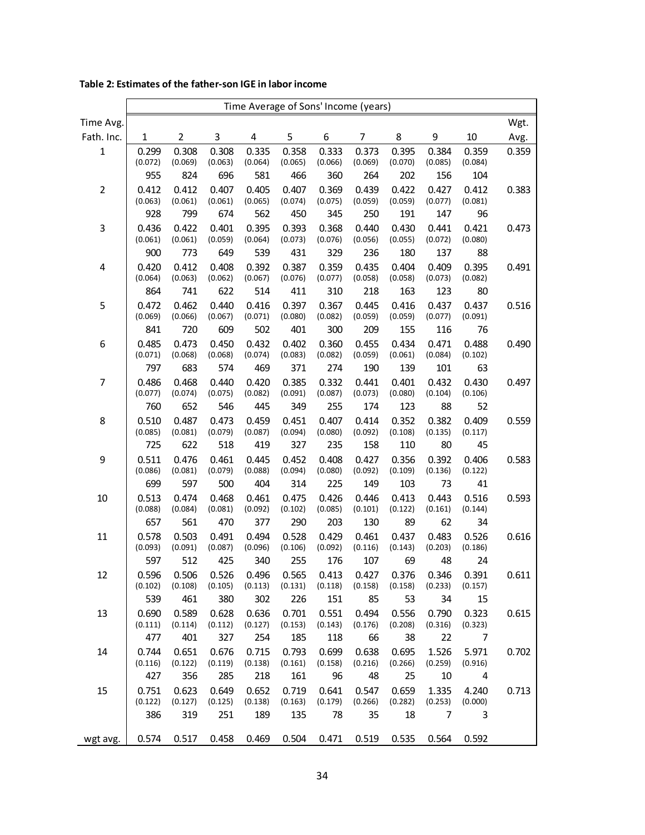|                | Time Average of Sons' Income (years) |                  |                  |                  |                  |                  |                  |                  |                  |                  |       |
|----------------|--------------------------------------|------------------|------------------|------------------|------------------|------------------|------------------|------------------|------------------|------------------|-------|
| Time Avg.      |                                      |                  |                  |                  |                  |                  |                  |                  |                  |                  | Wgt.  |
| Fath. Inc.     | 1                                    | 2                | 3                | 4                | 5                | 6                | 7                | 8                | 9                | 10               | Avg.  |
| $\mathbf 1$    | 0.299<br>(0.072)                     | 0.308<br>(0.069) | 0.308<br>(0.063) | 0.335<br>(0.064) | 0.358<br>(0.065) | 0.333<br>(0.066) | 0.373<br>(0.069) | 0.395<br>(0.070) | 0.384<br>(0.085) | 0.359<br>(0.084) | 0.359 |
|                | 955                                  | 824              | 696              | 581              | 466              | 360              | 264              | 202              | 156              | 104              |       |
| $\overline{2}$ | 0.412<br>(0.063)                     | 0.412<br>(0.061) | 0.407<br>(0.061) | 0.405<br>(0.065) | 0.407<br>(0.074) | 0.369<br>(0.075) | 0.439<br>(0.059) | 0.422<br>(0.059) | 0.427<br>(0.077) | 0.412<br>(0.081) | 0.383 |
|                | 928                                  | 799              | 674              | 562              | 450              | 345              | 250              | 191              | 147              | 96               |       |
| 3              | 0.436<br>(0.061)                     | 0.422<br>(0.061) | 0.401<br>(0.059) | 0.395<br>(0.064) | 0.393<br>(0.073) | 0.368<br>(0.076) | 0.440<br>(0.056) | 0.430<br>(0.055) | 0.441<br>(0.072) | 0.421<br>(0.080) | 0.473 |
|                | 900                                  | 773              | 649              | 539              | 431              | 329              | 236              | 180              | 137              | 88               |       |
| 4              | 0.420<br>(0.064)                     | 0.412<br>(0.063) | 0.408<br>(0.062) | 0.392<br>(0.067) | 0.387<br>(0.076) | 0.359<br>(0.077) | 0.435<br>(0.058) | 0.404<br>(0.058) | 0.409<br>(0.073) | 0.395<br>(0.082) | 0.491 |
|                | 864                                  | 741              | 622              | 514              | 411              | 310              | 218              | 163              | 123              | 80               |       |
| 5              | 0.472<br>(0.069)                     | 0.462<br>(0.066) | 0.440<br>(0.067) | 0.416<br>(0.071) | 0.397<br>(0.080) | 0.367<br>(0.082) | 0.445<br>(0.059) | 0.416<br>(0.059) | 0.437<br>(0.077) | 0.437<br>(0.091) | 0.516 |
|                | 841                                  | 720              | 609              | 502              | 401              | 300              | 209              | 155              | 116              | 76               |       |
| 6              | 0.485<br>(0.071)                     | 0.473<br>(0.068) | 0.450<br>(0.068) | 0.432<br>(0.074) | 0.402<br>(0.083) | 0.360<br>(0.082) | 0.455<br>(0.059) | 0.434<br>(0.061) | 0.471<br>(0.084) | 0.488<br>(0.102) | 0.490 |
|                | 797                                  | 683              | 574              | 469              | 371              | 274              | 190              | 139              | 101              | 63               |       |
| $\overline{7}$ | 0.486<br>(0.077)                     | 0.468<br>(0.074) | 0.440<br>(0.075) | 0.420<br>(0.082) | 0.385<br>(0.091) | 0.332<br>(0.087) | 0.441<br>(0.073) | 0.401<br>(0.080) | 0.432<br>(0.104) | 0.430<br>(0.106) | 0.497 |
|                | 760                                  | 652              | 546              | 445              | 349              | 255              | 174              | 123              | 88               | 52               |       |
| 8              | 0.510<br>(0.085)                     | 0.487<br>(0.081) | 0.473<br>(0.079) | 0.459<br>(0.087) | 0.451<br>(0.094) | 0.407<br>(0.080) | 0.414<br>(0.092) | 0.352<br>(0.108) | 0.382<br>(0.135) | 0.409<br>(0.117) | 0.559 |
|                | 725                                  | 622              | 518              | 419              | 327              | 235              | 158              | 110              | 80               | 45               |       |
| 9              | 0.511<br>(0.086)                     | 0.476<br>(0.081) | 0.461<br>(0.079) | 0.445<br>(0.088) | 0.452<br>(0.094) | 0.408<br>(0.080) | 0.427<br>(0.092) | 0.356<br>(0.109) | 0.392<br>(0.136) | 0.406<br>(0.122) | 0.583 |
|                | 699                                  | 597              | 500              | 404              | 314              | 225              | 149              | 103              | 73               | 41               |       |
| 10             | 0.513<br>(0.088)                     | 0.474<br>(0.084) | 0.468<br>(0.081) | 0.461<br>(0.092) | 0.475<br>(0.102) | 0.426<br>(0.085) | 0.446<br>(0.101) | 0.413<br>(0.122) | 0.443<br>(0.161) | 0.516<br>(0.144) | 0.593 |
|                | 657                                  | 561              | 470              | 377              | 290              | 203              | 130              | 89               | 62               | 34               |       |
| 11             | 0.578<br>(0.093)                     | 0.503<br>(0.091) | 0.491<br>(0.087) | 0.494<br>(0.096) | 0.528<br>(0.106) | 0.429<br>(0.092) | 0.461<br>(0.116) | 0.437<br>(0.143) | 0.483<br>(0.203) | 0.526<br>(0.186) | 0.616 |
|                | 597                                  | 512              | 425              | 340              | 255              | 176              | 107              | 69               | 48               | 24               |       |
| 12             | 0.596<br>(0.102)                     | 0.506<br>(0.108) | 0.526<br>(0.105) | 0.496<br>(0.113) | 0.565<br>(0.131) | 0.413<br>(0.118) | 0.427<br>(0.158) | 0.376<br>(0.158) | 0.346<br>(0.233) | 0.391<br>(0.157) | 0.611 |
|                | 539                                  | 461              | 380              | 302<br>0.636     | 226<br>0.701     | 151<br>0.551     | 85               | 53               | 34               | 15               |       |
| 13             | 0.690<br>(0.111)                     | 0.589<br>(0.114) | 0.628<br>(0.112) | (0.127)          | (0.153)          | (0.143)          | 0.494<br>(0.176) | 0.556<br>(0.208) | 0.790<br>(0.316) | 0.323<br>(0.323) | 0.615 |
| 14             | 477                                  | 401<br>0.651     | 327              | 254<br>0.715     | 185              | 118<br>0.699     | 66<br>0.638      | 38<br>0.695      | 22<br>1.526      | 7                |       |
|                | 0.744<br>(0.116)                     | (0.122)          | 0.676<br>(0.119) | (0.138)          | 0.793<br>(0.161) | (0.158)          | (0.216)          | (0.266)          | (0.259)          | 5.971<br>(0.916) | 0.702 |
|                | 427                                  | 356              | 285              | 218              | 161              | 96               | 48               | 25               | 10               | 4                |       |
| 15             | 0.751<br>(0.122)                     | 0.623<br>(0.127) | 0.649<br>(0.125) | 0.652<br>(0.138) | 0.719<br>(0.163) | 0.641<br>(0.179) | 0.547<br>(0.266) | 0.659<br>(0.282) | 1.335<br>(0.253) | 4.240<br>(0.000) | 0.713 |
|                | 386                                  | 319              | 251              | 189              | 135              | 78               | 35               | 18               | 7                | 3                |       |
| wgt avg.       | 0.574                                | 0.517            | 0.458            | 0.469            | 0.504            | 0.471            | 0.519            | 0.535            | 0.564            | 0.592            |       |

### **Table 2: Estimates of the father-son IGE in labor income**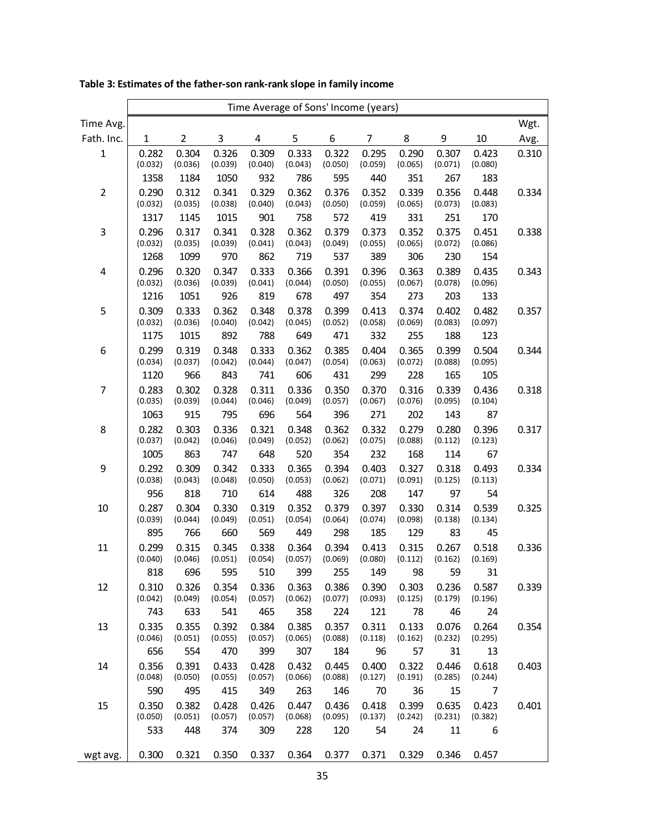|                  | Time Average of Sons' Income (years) |                  |                  |                  |                  |                  |                  |                  |                  |                  |       |
|------------------|--------------------------------------|------------------|------------------|------------------|------------------|------------------|------------------|------------------|------------------|------------------|-------|
| Time Avg.        |                                      |                  |                  |                  |                  |                  |                  |                  |                  |                  | Wgt.  |
| Fath. Inc.       | $\mathbf 1$                          | $\overline{2}$   | 3                | 4                | 5                | 6                | 7                | 8                | 9                | 10               | Avg.  |
| $\mathbf 1$      | 0.282<br>(0.032)                     | 0.304<br>(0.036) | 0.326<br>(0.039) | 0.309<br>(0.040) | 0.333<br>(0.043) | 0.322<br>(0.050) | 0.295<br>(0.059) | 0.290<br>(0.065) | 0.307<br>(0.071) | 0.423<br>(0.080) | 0.310 |
|                  | 1358                                 | 1184             | 1050             | 932              | 786              | 595              | 440              | 351              | 267              | 183              |       |
| $\mathbf 2$      | 0.290<br>(0.032)                     | 0.312<br>(0.035) | 0.341<br>(0.038) | 0.329<br>(0.040) | 0.362<br>(0.043) | 0.376<br>(0.050) | 0.352<br>(0.059) | 0.339<br>(0.065) | 0.356<br>(0.073) | 0.448<br>(0.083) | 0.334 |
|                  | 1317                                 | 1145             | 1015             | 901              | 758              | 572              | 419              | 331              | 251              | 170              |       |
| 3                | 0.296<br>(0.032)                     | 0.317<br>(0.035) | 0.341<br>(0.039) | 0.328<br>(0.041) | 0.362<br>(0.043) | 0.379<br>(0.049) | 0.373<br>(0.055) | 0.352<br>(0.065) | 0.375<br>(0.072) | 0.451<br>(0.086) | 0.338 |
|                  | 1268                                 | 1099             | 970              | 862              | 719              | 537              | 389              | 306              | 230              | 154              |       |
| 4                | 0.296<br>(0.032)                     | 0.320<br>(0.036) | 0.347<br>(0.039) | 0.333<br>(0.041) | 0.366<br>(0.044) | 0.391<br>(0.050) | 0.396<br>(0.055) | 0.363<br>(0.067) | 0.389<br>(0.078) | 0.435<br>(0.096) | 0.343 |
|                  | 1216                                 | 1051             | 926              | 819              | 678              | 497              | 354              | 273              | 203              | 133              |       |
| 5                | 0.309<br>(0.032)                     | 0.333<br>(0.036) | 0.362<br>(0.040) | 0.348<br>(0.042) | 0.378<br>(0.045) | 0.399<br>(0.052) | 0.413<br>(0.058) | 0.374<br>(0.069) | 0.402<br>(0.083) | 0.482<br>(0.097) | 0.357 |
|                  | 1175                                 | 1015             | 892              | 788              | 649              | 471              | 332              | 255              | 188              | 123              |       |
| $\boldsymbol{6}$ | 0.299<br>(0.034)                     | 0.319<br>(0.037) | 0.348<br>(0.042) | 0.333<br>(0.044) | 0.362<br>(0.047) | 0.385<br>(0.054) | 0.404<br>(0.063) | 0.365<br>(0.072) | 0.399<br>(0.088) | 0.504<br>(0.095) | 0.344 |
|                  | 1120                                 | 966              | 843              | 741              | 606              | 431              | 299              | 228              | 165              | 105              |       |
| 7                | 0.283<br>(0.035)                     | 0.302<br>(0.039) | 0.328<br>(0.044) | 0.311<br>(0.046) | 0.336<br>(0.049) | 0.350<br>(0.057) | 0.370<br>(0.067) | 0.316<br>(0.076) | 0.339<br>(0.095) | 0.436<br>(0.104) | 0.318 |
|                  | 1063                                 | 915              | 795              | 696              | 564              | 396              | 271              | 202              | 143              | 87               |       |
| 8                | 0.282<br>(0.037)                     | 0.303<br>(0.042) | 0.336<br>(0.046) | 0.321<br>(0.049) | 0.348<br>(0.052) | 0.362<br>(0.062) | 0.332<br>(0.075) | 0.279<br>(0.088) | 0.280<br>(0.112) | 0.396<br>(0.123) | 0.317 |
|                  | 1005                                 | 863              | 747              | 648              | 520              | 354              | 232              | 168              | 114              | 67               |       |
| $\boldsymbol{9}$ | 0.292<br>(0.038)                     | 0.309<br>(0.043) | 0.342<br>(0.048) | 0.333<br>(0.050) | 0.365<br>(0.053) | 0.394<br>(0.062) | 0.403<br>(0.071) | 0.327<br>(0.091) | 0.318<br>(0.125) | 0.493<br>(0.113) | 0.334 |
|                  | 956                                  | 818              | 710              | 614              | 488              | 326              | 208              | 147              | 97               | 54               |       |
| $10\,$           | 0.287<br>(0.039)                     | 0.304<br>(0.044) | 0.330<br>(0.049) | 0.319<br>(0.051) | 0.352<br>(0.054) | 0.379<br>(0.064) | 0.397<br>(0.074) | 0.330<br>(0.098) | 0.314<br>(0.138) | 0.539<br>(0.134) | 0.325 |
|                  | 895                                  | 766              | 660              | 569              | 449              | 298              | 185              | 129              | 83               | 45               |       |
| 11               | 0.299<br>(0.040)                     | 0.315<br>(0.046) | 0.345<br>(0.051) | 0.338<br>(0.054) | 0.364<br>(0.057) | 0.394<br>(0.069) | 0.413<br>(0.080) | 0.315<br>(0.112) | 0.267<br>(0.162) | 0.518<br>(0.169) | 0.336 |
|                  | 818                                  | 696              | 595              | 510              | 399              | 255              | 149              | 98               | 59               | 31               |       |
| 12               | 0.310<br>(0.042)                     | 0.326<br>(0.049) | 0.354<br>(0.054) | 0.336<br>(0.057) | 0.363<br>(0.062) | 0.386<br>(0.077) | 0.390<br>(0.093) | 0.303<br>(0.125) | 0.236<br>(0.179) | 0.587<br>(0.196) | 0.339 |
|                  | 743                                  | 633              | 541              | 465              | 358              | 224              | 121              | 78<br>0.133      | 46               | 24               |       |
| 13               | 0.335<br>(0.046)                     | 0.355<br>(0.051) | 0.392<br>(0.055) | 0.384<br>(0.057) | 0.385<br>(0.065) | 0.357<br>(0.088) | 0.311<br>(0.118) | (0.162)          | 0.076<br>(0.232) | 0.264<br>(0.295) | 0.354 |
|                  | 656                                  | 554              | 470              | 399              | 307              | 184              | 96               | 57               | 31               | 13               |       |
| 14               | 0.356<br>(0.048)                     | 0.391<br>(0.050) | 0.433<br>(0.055) | 0.428<br>(0.057) | 0.432<br>(0.066) | 0.445<br>(0.088) | 0.400<br>(0.127) | 0.322<br>(0.191) | 0.446<br>(0.285) | 0.618<br>(0.244) | 0.403 |
|                  | 590                                  | 495              | 415              | 349              | 263              | 146              | 70               | 36               | 15               | 7                |       |
| 15               | 0.350<br>(0.050)                     | 0.382<br>(0.051) | 0.428<br>(0.057) | 0.426<br>(0.057) | 0.447<br>(0.068) | 0.436<br>(0.095) | 0.418<br>(0.137) | 0.399<br>(0.242) | 0.635<br>(0.231) | 0.423<br>(0.382) | 0.401 |
|                  | 533                                  | 448              | 374              | 309              | 228              | 120              | 54               | 24               | 11               | 6                |       |
| wgt avg.         | 0.300                                | 0.321            | 0.350            | 0.337            | 0.364            | 0.377            | 0.371            | 0.329            | 0.346            | 0.457            |       |

**Table 3: Estimates of the father-son rank-rank slope in family income**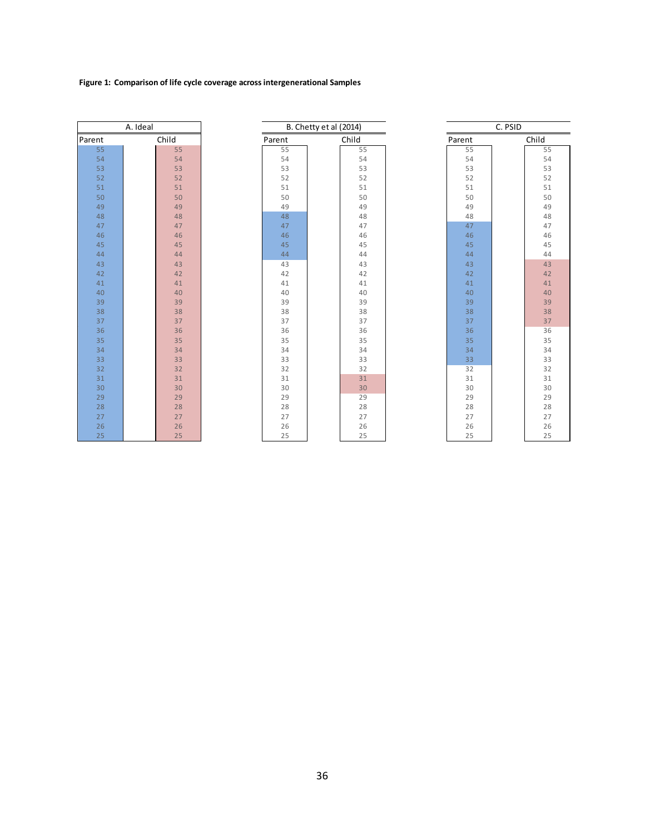### **Figure 1: Comparison of life cycle coverage across intergenerational Samples**

|        | A. Ideal |        | B. Chetty et al (2014) |        | C. PSID |       |  |  |
|--------|----------|--------|------------------------|--------|---------|-------|--|--|
| Parent | Child    | Parent | Child                  | Parent |         | Child |  |  |
| 55     | 55       | 55     | 55                     |        | 55      | 55    |  |  |
| 54     | 54       | 54     | 54                     |        | 54      | 54    |  |  |
| 53     | 53       | 53     | 53                     |        | 53      | 53    |  |  |
| 52     | 52       | 52     | 52                     |        | 52      | 52    |  |  |
| 51     | 51       | 51     | 51                     |        | 51      | 51    |  |  |
| 50     | 50       | 50     | 50                     |        | 50      | 50    |  |  |
| 49     | 49       | 49     | 49                     |        | 49      | 49    |  |  |
| 48     | 48       | 48     | 48                     |        | 48      | 48    |  |  |
| 47     | 47       | 47     | 47                     |        | 47      | 47    |  |  |
| 46     | 46       | 46     | 46                     |        | 46      | 46    |  |  |
| 45     | 45       | 45     | 45                     |        | 45      | 45    |  |  |
| 44     | 44       | 44     | 44                     |        | 44      | 44    |  |  |
| 43     | 43       | 43     | 43                     |        | 43      | 43    |  |  |
| 42     | 42       | 42     | 42                     |        | 42      | 42    |  |  |
| 41     | 41       | 41     | 41                     |        | 41      | 41    |  |  |
| 40     | 40       | 40     | 40                     |        | 40      | 40    |  |  |
| 39     | 39       | 39     | 39                     |        | 39      | 39    |  |  |
| 38     | 38       | 38     | 38                     |        | 38      | 38    |  |  |
| 37     | 37       | 37     | 37                     |        | 37      | 37    |  |  |
| 36     | 36       | 36     | 36                     |        | 36      | 36    |  |  |
| 35     | 35       | 35     | 35                     |        | 35      | 35    |  |  |
| 34     | 34       | 34     | 34                     |        | 34      | 34    |  |  |
| 33     | 33       | 33     | 33                     |        | 33      | 33    |  |  |
| 32     | 32       | 32     | 32                     |        | 32      | 32    |  |  |
| 31     | 31       | 31     | 31                     |        | 31      | 31    |  |  |
| 30     | 30       | 30     | 30                     |        | 30      | 30    |  |  |
| 29     | 29       | 29     | 29                     |        | 29      | 29    |  |  |
| 28     | 28       | 28     | 28                     |        | 28      | 28    |  |  |
| 27     | 27       | 27     | 27                     |        | 27      | 27    |  |  |
| 26     | 26       | 26     | 26                     |        | 26      | 26    |  |  |
| 25     | 25       | 25     | 25                     |        | 25      | 25    |  |  |
|        |          |        |                        |        |         |       |  |  |

|    | A. Ideal |       |  | C. PSID |       |  |        |  |       |
|----|----------|-------|--|---------|-------|--|--------|--|-------|
| nt |          | Child |  | Parent  | Child |  | Parent |  | Child |
| 55 |          | 55    |  | 55      | 55    |  | 55     |  | 55    |
| 54 |          | 54    |  | 54      | 54    |  | 54     |  | 54    |
| 53 |          | 53    |  | 53      | 53    |  | 53     |  | 53    |
| 52 |          | 52    |  | 52      | 52    |  | 52     |  | 52    |
| 51 |          | 51    |  | 51      | 51    |  | 51     |  | 51    |
| 50 |          | 50    |  | 50      | 50    |  | 50     |  | 50    |
| 49 |          | 49    |  | 49      | 49    |  | 49     |  | 49    |
| 48 |          | 48    |  | 48      | 48    |  | 48     |  | 48    |
| 47 |          | 47    |  | 47      | 47    |  | 47     |  | 47    |
| 46 |          | 46    |  | 46      | 46    |  | 46     |  | 46    |
| 45 |          | 45    |  | 45      | 45    |  | 45     |  | 45    |
| 44 |          | 44    |  | 44      | 44    |  | 44     |  | 44    |
| 43 |          | 43    |  | 43      | 43    |  | 43     |  | 43    |
| 42 |          | 42    |  | 42      | 42    |  | 42     |  | 42    |
| 41 |          | 41    |  | 41      | 41    |  | 41     |  | 41    |
| 40 |          | 40    |  | 40      | 40    |  | 40     |  | 40    |
| 39 |          | 39    |  | 39      | 39    |  | 39     |  | 39    |
| 38 |          | 38    |  | 38      | 38    |  | 38     |  | 38    |
| 37 |          | 37    |  | 37      | 37    |  | 37     |  | 37    |
| 36 |          | 36    |  | 36      | 36    |  | 36     |  | 36    |
| 35 |          | 35    |  | 35      | 35    |  | 35     |  | 35    |
| 34 |          | 34    |  | 34      | 34    |  | 34     |  | 34    |
| 33 |          | 33    |  | 33      | 33    |  | 33     |  | 33    |
| 32 |          | 32    |  | 32      | 32    |  | 32     |  | 32    |
| 31 |          | 31    |  | 31      | 31    |  | 31     |  | 31    |
| 30 |          | 30    |  | 30      | 30    |  | 30     |  | 30    |
| 29 |          | 29    |  | 29      | 29    |  | 29     |  | 29    |
| 28 |          | 28    |  | 28      | 28    |  | 28     |  | 28    |
| 27 |          | 27    |  | 27      | 27    |  | 27     |  | 27    |
| 26 |          | 26    |  | 26      | 26    |  | 26     |  | 26    |
| 25 |          | 25    |  | 25      | 25    |  | 25     |  | 25    |

|            | C. PSID |            |
|------------|---------|------------|
| Parent     |         | Child      |
| 55         |         | 55         |
| 54         |         | 54         |
| 53         |         | 53         |
| 52         |         | 52         |
| 51         |         | 51         |
| 50         |         | 50         |
| 49         |         | 49         |
| 48         |         | 48         |
| 47         |         | 47         |
| 46         |         | 46         |
| 45         |         | 45         |
| 44         |         | 44         |
| 43         |         | 43         |
| 42         |         | 42         |
| 41         |         | 41         |
| 40         |         | 40         |
| 39         |         | 39         |
| 38         |         | 38         |
| 37         |         | 37         |
| 36         |         | 36         |
| 35         |         | 35         |
| 34         |         | 34         |
| 33         |         | 33         |
| 32         |         | 32         |
| 31         |         | 31         |
| 30         |         | 30         |
| 29         |         | 29         |
| 28         |         | 28         |
| 27         |         | 27         |
| 26         |         | 26         |
| $\sim$ $-$ |         | $\sim$ $-$ |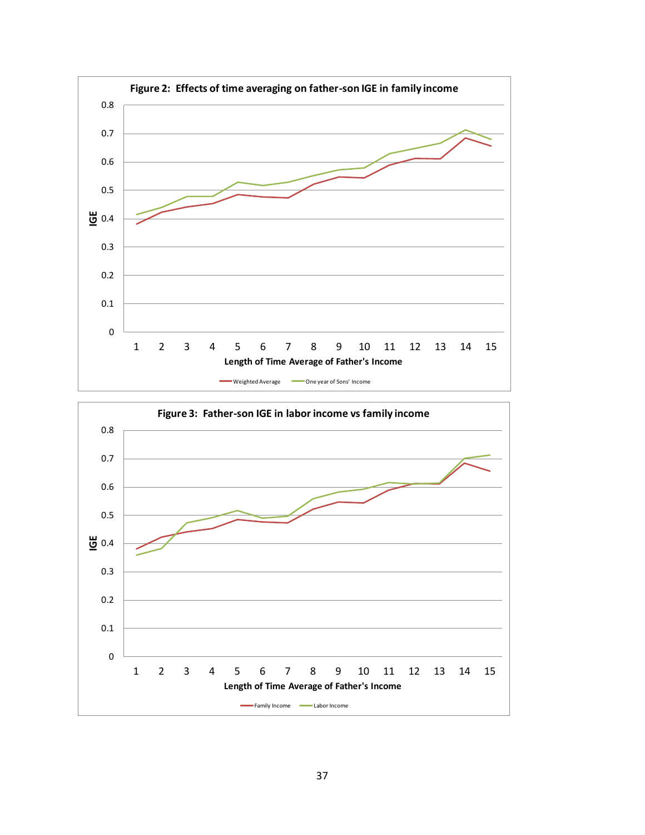

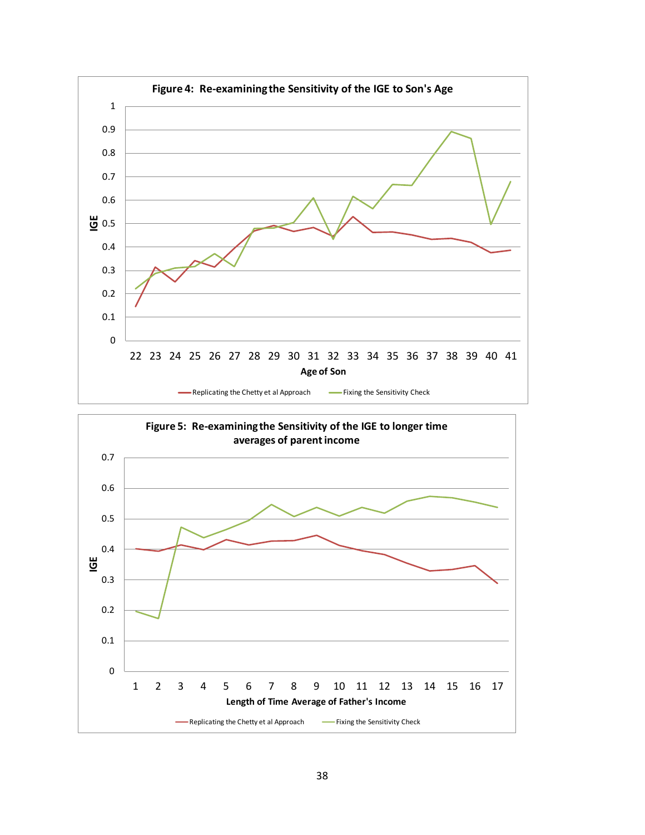

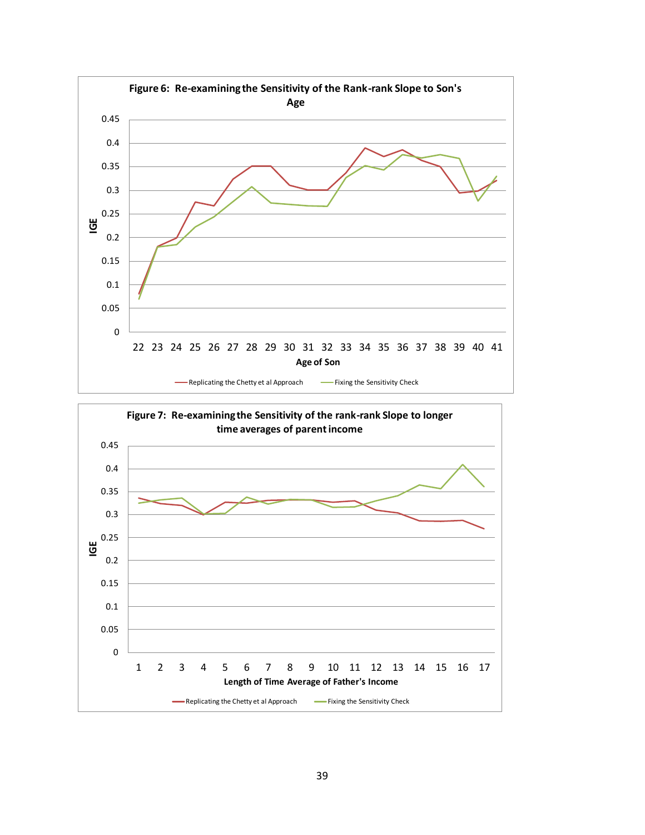

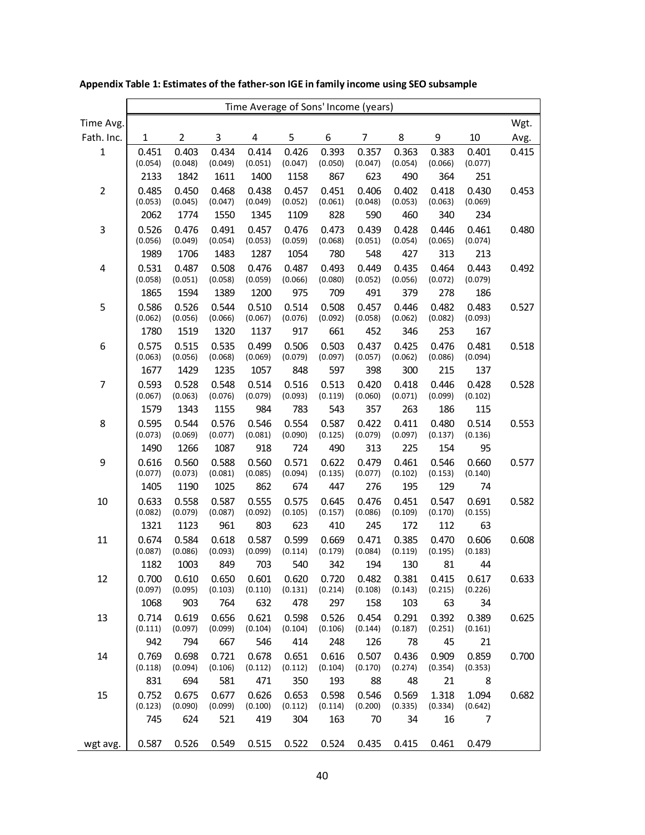|                | Time Average of Sons' Income (years) |                  |                  |                  |                  |                  |                  |                  |                  |                  |       |
|----------------|--------------------------------------|------------------|------------------|------------------|------------------|------------------|------------------|------------------|------------------|------------------|-------|
| Time Avg.      |                                      |                  |                  |                  |                  |                  |                  |                  |                  |                  | Wgt.  |
| Fath. Inc.     | $\mathbf{1}$                         | 2                | 3                | 4                | 5                | 6                | 7                | 8                | 9                | 10               | Avg.  |
| $\mathbf{1}$   | 0.451                                | 0.403            | 0.434            | 0.414            | 0.426            | 0.393            | 0.357            | 0.363            | 0.383            | 0.401            | 0.415 |
|                | (0.054)                              | (0.048)          | (0.049)          | (0.051)          | (0.047)          | (0.050)          | (0.047)          | (0.054)          | (0.066)          | (0.077)          |       |
|                | 2133                                 | 1842             | 1611             | 1400             | 1158             | 867              | 623              | 490              | 364              | 251              |       |
| $\overline{2}$ | 0.485<br>(0.053)                     | 0.450<br>(0.045) | 0.468<br>(0.047) | 0.438<br>(0.049) | 0.457<br>(0.052) | 0.451<br>(0.061) | 0.406<br>(0.048) | 0.402<br>(0.053) | 0.418<br>(0.063) | 0.430<br>(0.069) | 0.453 |
|                | 2062                                 | 1774             | 1550             | 1345             | 1109             | 828              | 590              | 460              | 340              | 234              |       |
| 3              | 0.526                                | 0.476            | 0.491            | 0.457            | 0.476            | 0.473            | 0.439            | 0.428            | 0.446            | 0.461            | 0.480 |
|                | (0.056)                              | (0.049)          | (0.054)          | (0.053)          | (0.059)          | (0.068)          | (0.051)          | (0.054)          | (0.065)          | (0.074)          |       |
|                | 1989                                 | 1706             | 1483             | 1287             | 1054             | 780              | 548              | 427              | 313              | 213              |       |
| 4              | 0.531<br>(0.058)                     | 0.487<br>(0.051) | 0.508<br>(0.058) | 0.476<br>(0.059) | 0.487<br>(0.066) | 0.493<br>(0.080) | 0.449<br>(0.052) | 0.435<br>(0.056) | 0.464<br>(0.072) | 0.443<br>(0.079) | 0.492 |
|                | 1865                                 | 1594             | 1389             | 1200             | 975              | 709              | 491              | 379              | 278              | 186              |       |
| 5              | 0.586                                | 0.526            | 0.544            | 0.510            | 0.514            | 0.508            | 0.457            | 0.446            | 0.482            | 0.483            | 0.527 |
|                | (0.062)                              | (0.056)          | (0.066)          | (0.067)          | (0.076)          | (0.092)          | (0.058)          | (0.062)          | (0.082)          | (0.093)          |       |
|                | 1780                                 | 1519             | 1320             | 1137             | 917              | 661              | 452              | 346              | 253              | 167              |       |
| 6              | 0.575                                | 0.515            | 0.535            | 0.499            | 0.506            | 0.503            | 0.437            | 0.425            | 0.476            | 0.481            | 0.518 |
|                | (0.063)                              | (0.056)          | (0.068)          | (0.069)          | (0.079)          | (0.097)          | (0.057)          | (0.062)          | (0.086)          | (0.094)          |       |
| $\overline{7}$ | 1677<br>0.593                        | 1429<br>0.528    | 1235<br>0.548    | 1057<br>0.514    | 848<br>0.516     | 597<br>0.513     | 398<br>0.420     | 300<br>0.418     | 215<br>0.446     | 137<br>0.428     |       |
|                | (0.067)                              | (0.063)          | (0.076)          | (0.079)          | (0.093)          | (0.119)          | (0.060)          | (0.071)          | (0.099)          | (0.102)          | 0.528 |
|                | 1579                                 | 1343             | 1155             | 984              | 783              | 543              | 357              | 263              | 186              | 115              |       |
| 8              | 0.595                                | 0.544            | 0.576            | 0.546            | 0.554            | 0.587            | 0.422            | 0.411            | 0.480            | 0.514            | 0.553 |
|                | (0.073)                              | (0.069)          | (0.077)          | (0.081)          | (0.090)          | (0.125)          | (0.079)          | (0.097)          | (0.137)          | (0.136)          |       |
|                | 1490                                 | 1266             | 1087             | 918              | 724              | 490              | 313              | 225              | 154              | 95               |       |
| 9              | 0.616<br>(0.077)                     | 0.560<br>(0.073) | 0.588<br>(0.081) | 0.560<br>(0.085) | 0.571<br>(0.094) | 0.622<br>(0.135) | 0.479<br>(0.077) | 0.461<br>(0.102) | 0.546<br>(0.153) | 0.660<br>(0.140) | 0.577 |
|                | 1405                                 | 1190             | 1025             | 862              | 674              | 447              | 276              | 195              | 129              | 74               |       |
| 10             | 0.633                                | 0.558            | 0.587            | 0.555            | 0.575            | 0.645            | 0.476            | 0.451            | 0.547            | 0.691            | 0.582 |
|                | (0.082)                              | (0.079)          | (0.087)          | (0.092)          | (0.105)          | (0.157)          | (0.086)          | (0.109)          | (0.170)          | (0.155)          |       |
|                | 1321                                 | 1123             | 961              | 803              | 623              | 410              | 245              | 172              | 112              | 63               |       |
| 11             | 0.674                                | 0.584            | 0.618            | 0.587            | 0.599            | 0.669            | 0.471            | 0.385            | 0.470            | 0.606            | 0.608 |
|                | (0.087)<br>1182                      | (0.086)<br>1003  | (0.093)<br>849   | (0.099)<br>703   | (0.114)<br>540   | (0.179)<br>342   | (0.084)<br>194   | (0.119)<br>130   | (0.195)<br>81    | (0.183)<br>44    |       |
| 12             | 0.700                                | 0.610            | 0.650            | 0.601            | 0.620            | 0.720            | 0.482            | 0.381            | 0.415            | 0.617            | 0.633 |
|                | (0.097)                              | (0.095)          | (0.103)          | (0.110)          | (0.131)          | (0.214)          | (0.108)          | (0.143)          | (0.215)          | (0.226)          |       |
|                | 1068                                 | 903              | 764              | 632              | 478              | 297              | 158              | 103              | 63               | 34               |       |
| 13             | 0.714                                | 0.619            | 0.656            | 0.621            | 0.598            | 0.526            | 0.454            | 0.291            | 0.392            | 0.389            | 0.625 |
|                | (0.111)                              | (0.097)          | (0.099)          | (0.104)          | (0.104)          | (0.106)          | (0.144)          | (0.187)          | (0.251)          | (0.161)          |       |
|                | 942                                  | 794              | 667              | 546              | 414              | 248<br>0.616     | 126              | 78               | 45               | 21               |       |
| 14             | 0.769<br>(0.118)                     | 0.698<br>(0.094) | 0.721<br>(0.106) | 0.678<br>(0.112) | 0.651<br>(0.112) | (0.104)          | 0.507<br>(0.170) | 0.436<br>(0.274) | 0.909<br>(0.354) | 0.859<br>(0.353) | 0.700 |
|                | 831                                  | 694              | 581              | 471              | 350              | 193              | 88               | 48               | 21               | 8                |       |
| 15             | 0.752                                | 0.675            | 0.677            | 0.626            | 0.653            | 0.598            | 0.546            | 0.569            | 1.318            | 1.094            | 0.682 |
|                | (0.123)                              | (0.090)          | (0.099)          | (0.100)          | (0.112)          | (0.114)          | (0.200)          | (0.335)          | (0.334)          | (0.642)          |       |
|                | 745                                  | 624              | 521              | 419              | 304              | 163              | 70               | 34               | 16               | 7                |       |
| wgt avg.       | 0.587                                | 0.526            | 0.549            | 0.515            | 0.522            | 0.524            | 0.435            | 0.415            | 0.461            | 0.479            |       |

**Appendix Table 1: Estimates of the father-son IGE in family income using SEO subsample**